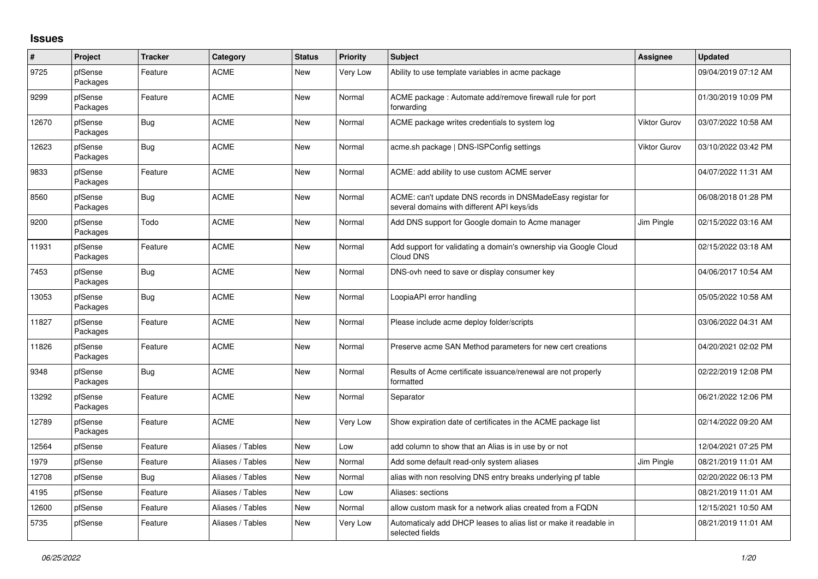## **Issues**

| $\pmb{\#}$ | Project             | <b>Tracker</b> | Category         | <b>Status</b> | <b>Priority</b> | <b>Subject</b>                                                                                            | <b>Assignee</b>     | <b>Updated</b>      |
|------------|---------------------|----------------|------------------|---------------|-----------------|-----------------------------------------------------------------------------------------------------------|---------------------|---------------------|
| 9725       | pfSense<br>Packages | Feature        | <b>ACME</b>      | <b>New</b>    | Very Low        | Ability to use template variables in acme package                                                         |                     | 09/04/2019 07:12 AM |
| 9299       | pfSense<br>Packages | Feature        | <b>ACME</b>      | <b>New</b>    | Normal          | ACME package: Automate add/remove firewall rule for port<br>forwarding                                    |                     | 01/30/2019 10:09 PM |
| 12670      | pfSense<br>Packages | <b>Bug</b>     | <b>ACME</b>      | <b>New</b>    | Normal          | ACME package writes credentials to system log                                                             | <b>Viktor Gurov</b> | 03/07/2022 10:58 AM |
| 12623      | pfSense<br>Packages | <b>Bug</b>     | <b>ACME</b>      | <b>New</b>    | Normal          | acme.sh package   DNS-ISPConfig settings                                                                  | <b>Viktor Gurov</b> | 03/10/2022 03:42 PM |
| 9833       | pfSense<br>Packages | Feature        | <b>ACME</b>      | New           | Normal          | ACME: add ability to use custom ACME server                                                               |                     | 04/07/2022 11:31 AM |
| 8560       | pfSense<br>Packages | <b>Bug</b>     | <b>ACME</b>      | <b>New</b>    | Normal          | ACME: can't update DNS records in DNSMadeEasy registar for<br>several domains with different API keys/ids |                     | 06/08/2018 01:28 PM |
| 9200       | pfSense<br>Packages | Todo           | <b>ACME</b>      | <b>New</b>    | Normal          | Add DNS support for Google domain to Acme manager                                                         | Jim Pingle          | 02/15/2022 03:16 AM |
| 11931      | pfSense<br>Packages | Feature        | <b>ACME</b>      | <b>New</b>    | Normal          | Add support for validating a domain's ownership via Google Cloud<br>Cloud DNS                             |                     | 02/15/2022 03:18 AM |
| 7453       | pfSense<br>Packages | <b>Bug</b>     | <b>ACME</b>      | <b>New</b>    | Normal          | DNS-ovh need to save or display consumer key                                                              |                     | 04/06/2017 10:54 AM |
| 13053      | pfSense<br>Packages | Bug            | <b>ACME</b>      | <b>New</b>    | Normal          | LoopiaAPI error handling                                                                                  |                     | 05/05/2022 10:58 AM |
| 11827      | pfSense<br>Packages | Feature        | <b>ACME</b>      | <b>New</b>    | Normal          | Please include acme deploy folder/scripts                                                                 |                     | 03/06/2022 04:31 AM |
| 11826      | pfSense<br>Packages | Feature        | <b>ACME</b>      | <b>New</b>    | Normal          | Preserve acme SAN Method parameters for new cert creations                                                |                     | 04/20/2021 02:02 PM |
| 9348       | pfSense<br>Packages | <b>Bug</b>     | <b>ACME</b>      | New           | Normal          | Results of Acme certificate issuance/renewal are not properly<br>formatted                                |                     | 02/22/2019 12:08 PM |
| 13292      | pfSense<br>Packages | Feature        | <b>ACME</b>      | <b>New</b>    | Normal          | Separator                                                                                                 |                     | 06/21/2022 12:06 PM |
| 12789      | pfSense<br>Packages | Feature        | <b>ACME</b>      | <b>New</b>    | Very Low        | Show expiration date of certificates in the ACME package list                                             |                     | 02/14/2022 09:20 AM |
| 12564      | pfSense             | Feature        | Aliases / Tables | <b>New</b>    | Low             | add column to show that an Alias is in use by or not                                                      |                     | 12/04/2021 07:25 PM |
| 1979       | pfSense             | Feature        | Aliases / Tables | <b>New</b>    | Normal          | Add some default read-only system aliases                                                                 | Jim Pingle          | 08/21/2019 11:01 AM |
| 12708      | pfSense             | <b>Bug</b>     | Aliases / Tables | <b>New</b>    | Normal          | alias with non resolving DNS entry breaks underlying pf table                                             |                     | 02/20/2022 06:13 PM |
| 4195       | pfSense             | Feature        | Aliases / Tables | New           | Low             | Aliases: sections                                                                                         |                     | 08/21/2019 11:01 AM |
| 12600      | pfSense             | Feature        | Aliases / Tables | <b>New</b>    | Normal          | allow custom mask for a network alias created from a FQDN                                                 |                     | 12/15/2021 10:50 AM |
| 5735       | pfSense             | Feature        | Aliases / Tables | New           | Very Low        | Automaticaly add DHCP leases to alias list or make it readable in<br>selected fields                      |                     | 08/21/2019 11:01 AM |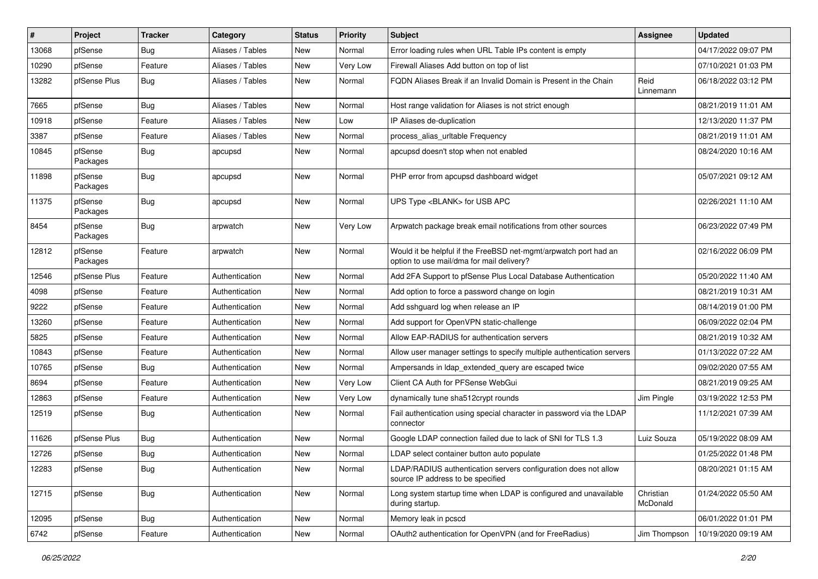| #     | Project             | <b>Tracker</b> | Category         | <b>Status</b> | <b>Priority</b> | Subject                                                                                                       | Assignee              | <b>Updated</b>      |
|-------|---------------------|----------------|------------------|---------------|-----------------|---------------------------------------------------------------------------------------------------------------|-----------------------|---------------------|
| 13068 | pfSense             | <b>Bug</b>     | Aliases / Tables | New           | Normal          | Error loading rules when URL Table IPs content is empty                                                       |                       | 04/17/2022 09:07 PM |
| 10290 | pfSense             | Feature        | Aliases / Tables | New           | Very Low        | Firewall Aliases Add button on top of list                                                                    |                       | 07/10/2021 01:03 PM |
| 13282 | pfSense Plus        | <b>Bug</b>     | Aliases / Tables | New           | Normal          | FQDN Aliases Break if an Invalid Domain is Present in the Chain                                               | Reid<br>Linnemann     | 06/18/2022 03:12 PM |
| 7665  | pfSense             | Bug            | Aliases / Tables | <b>New</b>    | Normal          | Host range validation for Aliases is not strict enough                                                        |                       | 08/21/2019 11:01 AM |
| 10918 | pfSense             | Feature        | Aliases / Tables | New           | Low             | IP Aliases de-duplication                                                                                     |                       | 12/13/2020 11:37 PM |
| 3387  | pfSense             | Feature        | Aliases / Tables | New           | Normal          | process alias urltable Frequency                                                                              |                       | 08/21/2019 11:01 AM |
| 10845 | pfSense<br>Packages | Bug            | apcupsd          | <b>New</b>    | Normal          | apcupsd doesn't stop when not enabled                                                                         |                       | 08/24/2020 10:16 AM |
| 11898 | pfSense<br>Packages | <b>Bug</b>     | apcupsd          | New           | Normal          | PHP error from apcupsd dashboard widget                                                                       |                       | 05/07/2021 09:12 AM |
| 11375 | pfSense<br>Packages | <b>Bug</b>     | apcupsd          | New           | Normal          | UPS Type <blank> for USB APC</blank>                                                                          |                       | 02/26/2021 11:10 AM |
| 8454  | pfSense<br>Packages | Bug            | arpwatch         | <b>New</b>    | Very Low        | Arpwatch package break email notifications from other sources                                                 |                       | 06/23/2022 07:49 PM |
| 12812 | pfSense<br>Packages | Feature        | arpwatch         | New           | Normal          | Would it be helpful if the FreeBSD net-mgmt/arpwatch port had an<br>option to use mail/dma for mail delivery? |                       | 02/16/2022 06:09 PM |
| 12546 | pfSense Plus        | Feature        | Authentication   | <b>New</b>    | Normal          | Add 2FA Support to pfSense Plus Local Database Authentication                                                 |                       | 05/20/2022 11:40 AM |
| 4098  | pfSense             | Feature        | Authentication   | <b>New</b>    | Normal          | Add option to force a password change on login                                                                |                       | 08/21/2019 10:31 AM |
| 9222  | pfSense             | Feature        | Authentication   | New           | Normal          | Add sshguard log when release an IP                                                                           |                       | 08/14/2019 01:00 PM |
| 13260 | pfSense             | Feature        | Authentication   | <b>New</b>    | Normal          | Add support for OpenVPN static-challenge                                                                      |                       | 06/09/2022 02:04 PM |
| 5825  | pfSense             | Feature        | Authentication   | New           | Normal          | Allow EAP-RADIUS for authentication servers                                                                   |                       | 08/21/2019 10:32 AM |
| 10843 | pfSense             | Feature        | Authentication   | <b>New</b>    | Normal          | Allow user manager settings to specify multiple authentication servers                                        |                       | 01/13/2022 07:22 AM |
| 10765 | pfSense             | <b>Bug</b>     | Authentication   | <b>New</b>    | Normal          | Ampersands in Idap extended query are escaped twice                                                           |                       | 09/02/2020 07:55 AM |
| 8694  | pfSense             | Feature        | Authentication   | New           | Very Low        | Client CA Auth for PFSense WebGui                                                                             |                       | 08/21/2019 09:25 AM |
| 12863 | pfSense             | Feature        | Authentication   | <b>New</b>    | Very Low        | dynamically tune sha512crypt rounds                                                                           | Jim Pingle            | 03/19/2022 12:53 PM |
| 12519 | pfSense             | Bug            | Authentication   | New           | Normal          | Fail authentication using special character in password via the LDAP<br>connector                             |                       | 11/12/2021 07:39 AM |
| 11626 | pfSense Plus        | <b>Bug</b>     | Authentication   | <b>New</b>    | Normal          | Google LDAP connection failed due to lack of SNI for TLS 1.3                                                  | Luiz Souza            | 05/19/2022 08:09 AM |
| 12726 | pfSense             | Bug            | Authentication   | New           | Normal          | LDAP select container button auto populate                                                                    |                       | 01/25/2022 01:48 PM |
| 12283 | pfSense             | Bug            | Authentication   | New           | Normal          | LDAP/RADIUS authentication servers configuration does not allow<br>source IP address to be specified          |                       | 08/20/2021 01:15 AM |
| 12715 | pfSense             | <b>Bug</b>     | Authentication   | New           | Normal          | Long system startup time when LDAP is configured and unavailable<br>during startup.                           | Christian<br>McDonald | 01/24/2022 05:50 AM |
| 12095 | pfSense             | <b>Bug</b>     | Authentication   | New           | Normal          | Memory leak in pcscd                                                                                          |                       | 06/01/2022 01:01 PM |
| 6742  | pfSense             | Feature        | Authentication   | New           | Normal          | OAuth2 authentication for OpenVPN (and for FreeRadius)                                                        | Jim Thompson          | 10/19/2020 09:19 AM |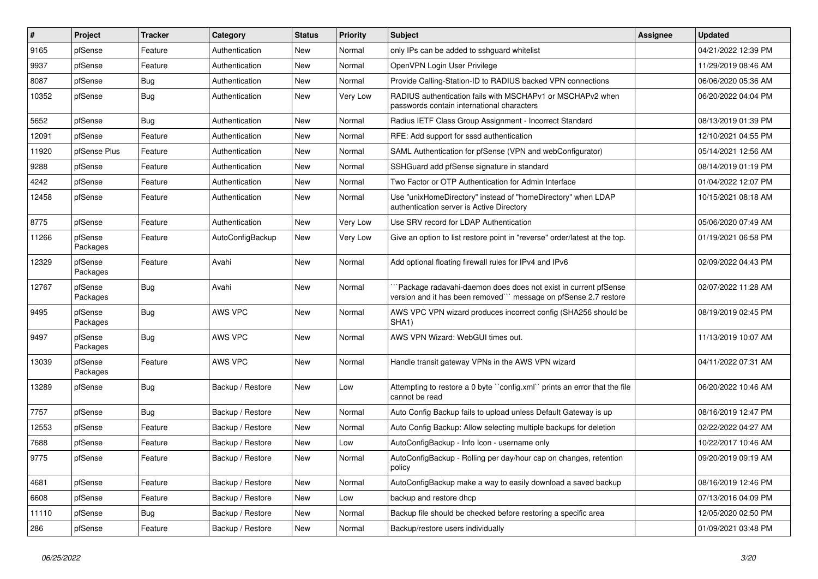| $\pmb{\sharp}$ | Project             | <b>Tracker</b> | Category         | <b>Status</b> | <b>Priority</b> | Subject                                                                                                                             | <b>Assignee</b> | <b>Updated</b>      |
|----------------|---------------------|----------------|------------------|---------------|-----------------|-------------------------------------------------------------------------------------------------------------------------------------|-----------------|---------------------|
| 9165           | pfSense             | Feature        | Authentication   | New           | Normal          | only IPs can be added to sshguard whitelist                                                                                         |                 | 04/21/2022 12:39 PM |
| 9937           | pfSense             | Feature        | Authentication   | New           | Normal          | OpenVPN Login User Privilege                                                                                                        |                 | 11/29/2019 08:46 AM |
| 8087           | pfSense             | Bug            | Authentication   | New           | Normal          | Provide Calling-Station-ID to RADIUS backed VPN connections                                                                         |                 | 06/06/2020 05:36 AM |
| 10352          | pfSense             | <b>Bug</b>     | Authentication   | New           | Very Low        | RADIUS authentication fails with MSCHAPv1 or MSCHAPv2 when<br>passwords contain international characters                            |                 | 06/20/2022 04:04 PM |
| 5652           | pfSense             | Bug            | Authentication   | New           | Normal          | Radius IETF Class Group Assignment - Incorrect Standard                                                                             |                 | 08/13/2019 01:39 PM |
| 12091          | pfSense             | Feature        | Authentication   | New           | Normal          | RFE: Add support for sssd authentication                                                                                            |                 | 12/10/2021 04:55 PM |
| 11920          | pfSense Plus        | Feature        | Authentication   | New           | Normal          | SAML Authentication for pfSense (VPN and webConfigurator)                                                                           |                 | 05/14/2021 12:56 AM |
| 9288           | pfSense             | Feature        | Authentication   | New           | Normal          | SSHGuard add pfSense signature in standard                                                                                          |                 | 08/14/2019 01:19 PM |
| 4242           | pfSense             | Feature        | Authentication   | New           | Normal          | Two Factor or OTP Authentication for Admin Interface                                                                                |                 | 01/04/2022 12:07 PM |
| 12458          | pfSense             | Feature        | Authentication   | New           | Normal          | Use "unixHomeDirectory" instead of "homeDirectory" when LDAP<br>authentication server is Active Directory                           |                 | 10/15/2021 08:18 AM |
| 8775           | pfSense             | Feature        | Authentication   | New           | Very Low        | Use SRV record for LDAP Authentication                                                                                              |                 | 05/06/2020 07:49 AM |
| 11266          | pfSense<br>Packages | Feature        | AutoConfigBackup | New           | Very Low        | Give an option to list restore point in "reverse" order/latest at the top.                                                          |                 | 01/19/2021 06:58 PM |
| 12329          | pfSense<br>Packages | Feature        | Avahi            | <b>New</b>    | Normal          | Add optional floating firewall rules for IPv4 and IPv6                                                                              |                 | 02/09/2022 04:43 PM |
| 12767          | pfSense<br>Packages | <b>Bug</b>     | Avahi            | New           | Normal          | `Package radavahi-daemon does does not exist in current pfSense<br>version and it has been removed"" message on pfSense 2.7 restore |                 | 02/07/2022 11:28 AM |
| 9495           | pfSense<br>Packages | <b>Bug</b>     | AWS VPC          | New           | Normal          | AWS VPC VPN wizard produces incorrect config (SHA256 should be<br>SHA1)                                                             |                 | 08/19/2019 02:45 PM |
| 9497           | pfSense<br>Packages | <b>Bug</b>     | AWS VPC          | New           | Normal          | AWS VPN Wizard: WebGUI times out.                                                                                                   |                 | 11/13/2019 10:07 AM |
| 13039          | pfSense<br>Packages | Feature        | AWS VPC          | New           | Normal          | Handle transit gateway VPNs in the AWS VPN wizard                                                                                   |                 | 04/11/2022 07:31 AM |
| 13289          | pfSense             | <b>Bug</b>     | Backup / Restore | New           | Low             | Attempting to restore a 0 byte "config.xml" prints an error that the file<br>cannot be read                                         |                 | 06/20/2022 10:46 AM |
| 7757           | pfSense             | Bug            | Backup / Restore | New           | Normal          | Auto Config Backup fails to upload unless Default Gateway is up                                                                     |                 | 08/16/2019 12:47 PM |
| 12553          | pfSense             | Feature        | Backup / Restore | New           | Normal          | Auto Config Backup: Allow selecting multiple backups for deletion                                                                   |                 | 02/22/2022 04:27 AM |
| 7688           | pfSense             | Feature        | Backup / Restore | New           | Low             | AutoConfigBackup - Info Icon - username only                                                                                        |                 | 10/22/2017 10:46 AM |
| 9775           | pfSense             | Feature        | Backup / Restore | New           | Normal          | AutoConfigBackup - Rolling per day/hour cap on changes, retention<br>policy                                                         |                 | 09/20/2019 09:19 AM |
| 4681           | pfSense             | Feature        | Backup / Restore | New           | Normal          | AutoConfigBackup make a way to easily download a saved backup                                                                       |                 | 08/16/2019 12:46 PM |
| 6608           | pfSense             | Feature        | Backup / Restore | New           | Low             | backup and restore dhcp                                                                                                             |                 | 07/13/2016 04:09 PM |
| 11110          | pfSense             | <b>Bug</b>     | Backup / Restore | New           | Normal          | Backup file should be checked before restoring a specific area                                                                      |                 | 12/05/2020 02:50 PM |
| 286            | pfSense             | Feature        | Backup / Restore | New           | Normal          | Backup/restore users individually                                                                                                   |                 | 01/09/2021 03:48 PM |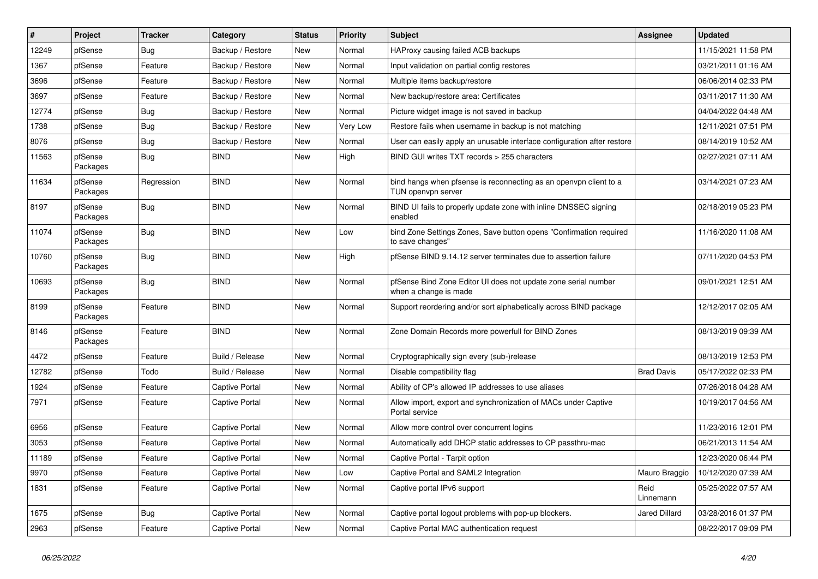| $\vert$ # | Project             | <b>Tracker</b> | Category              | <b>Status</b> | <b>Priority</b> | Subject                                                                                 | Assignee          | <b>Updated</b>      |
|-----------|---------------------|----------------|-----------------------|---------------|-----------------|-----------------------------------------------------------------------------------------|-------------------|---------------------|
| 12249     | pfSense             | Bug            | Backup / Restore      | New           | Normal          | HAProxy causing failed ACB backups                                                      |                   | 11/15/2021 11:58 PM |
| 1367      | pfSense             | Feature        | Backup / Restore      | <b>New</b>    | Normal          | Input validation on partial config restores                                             |                   | 03/21/2011 01:16 AM |
| 3696      | pfSense             | Feature        | Backup / Restore      | New           | Normal          | Multiple items backup/restore                                                           |                   | 06/06/2014 02:33 PM |
| 3697      | pfSense             | Feature        | Backup / Restore      | New           | Normal          | New backup/restore area: Certificates                                                   |                   | 03/11/2017 11:30 AM |
| 12774     | pfSense             | <b>Bug</b>     | Backup / Restore      | New           | Normal          | Picture widget image is not saved in backup                                             |                   | 04/04/2022 04:48 AM |
| 1738      | pfSense             | <b>Bug</b>     | Backup / Restore      | New           | Very Low        | Restore fails when username in backup is not matching                                   |                   | 12/11/2021 07:51 PM |
| 8076      | pfSense             | <b>Bug</b>     | Backup / Restore      | New           | Normal          | User can easily apply an unusable interface configuration after restore                 |                   | 08/14/2019 10:52 AM |
| 11563     | pfSense<br>Packages | <b>Bug</b>     | <b>BIND</b>           | New           | High            | BIND GUI writes TXT records > 255 characters                                            |                   | 02/27/2021 07:11 AM |
| 11634     | pfSense<br>Packages | Regression     | <b>BIND</b>           | <b>New</b>    | Normal          | bind hangs when pfsense is reconnecting as an openypn client to a<br>TUN openvpn server |                   | 03/14/2021 07:23 AM |
| 8197      | pfSense<br>Packages | Bug            | <b>BIND</b>           | New           | Normal          | BIND UI fails to properly update zone with inline DNSSEC signing<br>enabled             |                   | 02/18/2019 05:23 PM |
| 11074     | pfSense<br>Packages | Bug            | <b>BIND</b>           | <b>New</b>    | Low             | bind Zone Settings Zones, Save button opens "Confirmation required<br>to save changes"  |                   | 11/16/2020 11:08 AM |
| 10760     | pfSense<br>Packages | <b>Bug</b>     | <b>BIND</b>           | New           | High            | pfSense BIND 9.14.12 server terminates due to assertion failure                         |                   | 07/11/2020 04:53 PM |
| 10693     | pfSense<br>Packages | Bug            | <b>BIND</b>           | New           | Normal          | pfSense Bind Zone Editor UI does not update zone serial number<br>when a change is made |                   | 09/01/2021 12:51 AM |
| 8199      | pfSense<br>Packages | Feature        | <b>BIND</b>           | New           | Normal          | Support reordering and/or sort alphabetically across BIND package                       |                   | 12/12/2017 02:05 AM |
| 8146      | pfSense<br>Packages | Feature        | <b>BIND</b>           | New           | Normal          | Zone Domain Records more powerfull for BIND Zones                                       |                   | 08/13/2019 09:39 AM |
| 4472      | pfSense             | Feature        | Build / Release       | New           | Normal          | Cryptographically sign every (sub-)release                                              |                   | 08/13/2019 12:53 PM |
| 12782     | pfSense             | Todo           | Build / Release       | New           | Normal          | Disable compatibility flag                                                              | <b>Brad Davis</b> | 05/17/2022 02:33 PM |
| 1924      | pfSense             | Feature        | <b>Captive Portal</b> | New           | Normal          | Ability of CP's allowed IP addresses to use aliases                                     |                   | 07/26/2018 04:28 AM |
| 7971      | pfSense             | Feature        | <b>Captive Portal</b> | New           | Normal          | Allow import, export and synchronization of MACs under Captive<br>Portal service        |                   | 10/19/2017 04:56 AM |
| 6956      | pfSense             | Feature        | <b>Captive Portal</b> | <b>New</b>    | Normal          | Allow more control over concurrent logins                                               |                   | 11/23/2016 12:01 PM |
| 3053      | pfSense             | Feature        | <b>Captive Portal</b> | New           | Normal          | Automatically add DHCP static addresses to CP passthru-mac                              |                   | 06/21/2013 11:54 AM |
| 11189     | pfSense             | Feature        | <b>Captive Portal</b> | New           | Normal          | Captive Portal - Tarpit option                                                          |                   | 12/23/2020 06:44 PM |
| 9970      | pfSense             | Feature        | <b>Captive Portal</b> | New           | Low             | Captive Portal and SAML2 Integration                                                    | Mauro Braggio     | 10/12/2020 07:39 AM |
| 1831      | pfSense             | Feature        | Captive Portal        | New           | Normal          | Captive portal IPv6 support                                                             | Reid<br>Linnemann | 05/25/2022 07:57 AM |
| 1675      | pfSense             | <b>Bug</b>     | <b>Captive Portal</b> | New           | Normal          | Captive portal logout problems with pop-up blockers.                                    | Jared Dillard     | 03/28/2016 01:37 PM |
| 2963      | pfSense             | Feature        | Captive Portal        | New           | Normal          | Captive Portal MAC authentication request                                               |                   | 08/22/2017 09:09 PM |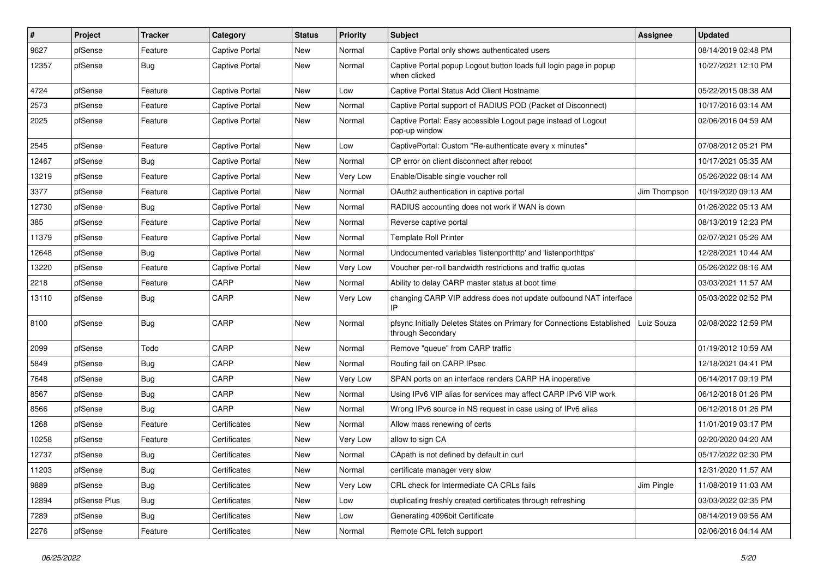| $\vert$ # | Project      | <b>Tracker</b> | Category              | <b>Status</b> | <b>Priority</b> | <b>Subject</b>                                                                              | Assignee     | <b>Updated</b>      |
|-----------|--------------|----------------|-----------------------|---------------|-----------------|---------------------------------------------------------------------------------------------|--------------|---------------------|
| 9627      | pfSense      | Feature        | <b>Captive Portal</b> | New           | Normal          | Captive Portal only shows authenticated users                                               |              | 08/14/2019 02:48 PM |
| 12357     | pfSense      | Bug            | <b>Captive Portal</b> | New           | Normal          | Captive Portal popup Logout button loads full login page in popup<br>when clicked           |              | 10/27/2021 12:10 PM |
| 4724      | pfSense      | Feature        | <b>Captive Portal</b> | <b>New</b>    | Low             | Captive Portal Status Add Client Hostname                                                   |              | 05/22/2015 08:38 AM |
| 2573      | pfSense      | Feature        | <b>Captive Portal</b> | <b>New</b>    | Normal          | Captive Portal support of RADIUS POD (Packet of Disconnect)                                 |              | 10/17/2016 03:14 AM |
| 2025      | pfSense      | Feature        | Captive Portal        | New           | Normal          | Captive Portal: Easy accessible Logout page instead of Logout<br>pop-up window              |              | 02/06/2016 04:59 AM |
| 2545      | pfSense      | Feature        | <b>Captive Portal</b> | <b>New</b>    | Low             | CaptivePortal: Custom "Re-authenticate every x minutes"                                     |              | 07/08/2012 05:21 PM |
| 12467     | pfSense      | <b>Bug</b>     | <b>Captive Portal</b> | New           | Normal          | CP error on client disconnect after reboot                                                  |              | 10/17/2021 05:35 AM |
| 13219     | pfSense      | Feature        | <b>Captive Portal</b> | New           | Very Low        | Enable/Disable single voucher roll                                                          |              | 05/26/2022 08:14 AM |
| 3377      | pfSense      | Feature        | <b>Captive Portal</b> | New           | Normal          | OAuth2 authentication in captive portal                                                     | Jim Thompson | 10/19/2020 09:13 AM |
| 12730     | pfSense      | <b>Bug</b>     | <b>Captive Portal</b> | New           | Normal          | RADIUS accounting does not work if WAN is down                                              |              | 01/26/2022 05:13 AM |
| 385       | pfSense      | Feature        | <b>Captive Portal</b> | <b>New</b>    | Normal          | Reverse captive portal                                                                      |              | 08/13/2019 12:23 PM |
| 11379     | pfSense      | Feature        | <b>Captive Portal</b> | New           | Normal          | <b>Template Roll Printer</b>                                                                |              | 02/07/2021 05:26 AM |
| 12648     | pfSense      | <b>Bug</b>     | <b>Captive Portal</b> | <b>New</b>    | Normal          | Undocumented variables 'listenporthttp' and 'listenporthttps'                               |              | 12/28/2021 10:44 AM |
| 13220     | pfSense      | Feature        | <b>Captive Portal</b> | New           | Very Low        | Voucher per-roll bandwidth restrictions and traffic quotas                                  |              | 05/26/2022 08:16 AM |
| 2218      | pfSense      | Feature        | CARP                  | New           | Normal          | Ability to delay CARP master status at boot time                                            |              | 03/03/2021 11:57 AM |
| 13110     | pfSense      | <b>Bug</b>     | CARP                  | New           | Very Low        | changing CARP VIP address does not update outbound NAT interface<br>IP                      |              | 05/03/2022 02:52 PM |
| 8100      | pfSense      | <b>Bug</b>     | CARP                  | <b>New</b>    | Normal          | pfsync Initially Deletes States on Primary for Connections Established<br>through Secondary | Luiz Souza   | 02/08/2022 12:59 PM |
| 2099      | pfSense      | Todo           | CARP                  | <b>New</b>    | Normal          | Remove "queue" from CARP traffic                                                            |              | 01/19/2012 10:59 AM |
| 5849      | pfSense      | <b>Bug</b>     | CARP                  | <b>New</b>    | Normal          | Routing fail on CARP IPsec                                                                  |              | 12/18/2021 04:41 PM |
| 7648      | pfSense      | <b>Bug</b>     | CARP                  | <b>New</b>    | Very Low        | SPAN ports on an interface renders CARP HA inoperative                                      |              | 06/14/2017 09:19 PM |
| 8567      | pfSense      | <b>Bug</b>     | CARP                  | New           | Normal          | Using IPv6 VIP alias for services may affect CARP IPv6 VIP work                             |              | 06/12/2018 01:26 PM |
| 8566      | pfSense      | Bug            | CARP                  | New           | Normal          | Wrong IPv6 source in NS request in case using of IPv6 alias                                 |              | 06/12/2018 01:26 PM |
| 1268      | pfSense      | Feature        | Certificates          | New           | Normal          | Allow mass renewing of certs                                                                |              | 11/01/2019 03:17 PM |
| 10258     | pfSense      | Feature        | Certificates          | New           | Very Low        | allow to sign CA                                                                            |              | 02/20/2020 04:20 AM |
| 12737     | pfSense      | Bug            | Certificates          | New           | Normal          | CApath is not defined by default in curl                                                    |              | 05/17/2022 02:30 PM |
| 11203     | pfSense      | <b>Bug</b>     | Certificates          | New           | Normal          | certificate manager very slow                                                               |              | 12/31/2020 11:57 AM |
| 9889      | pfSense      | <b>Bug</b>     | Certificates          | <b>New</b>    | Very Low        | CRL check for Intermediate CA CRLs fails                                                    | Jim Pingle   | 11/08/2019 11:03 AM |
| 12894     | pfSense Plus | Bug            | Certificates          | New           | Low             | duplicating freshly created certificates through refreshing                                 |              | 03/03/2022 02:35 PM |
| 7289      | pfSense      | Bug            | Certificates          | New           | Low             | Generating 4096bit Certificate                                                              |              | 08/14/2019 09:56 AM |
| 2276      | pfSense      | Feature        | Certificates          | New           | Normal          | Remote CRL fetch support                                                                    |              | 02/06/2016 04:14 AM |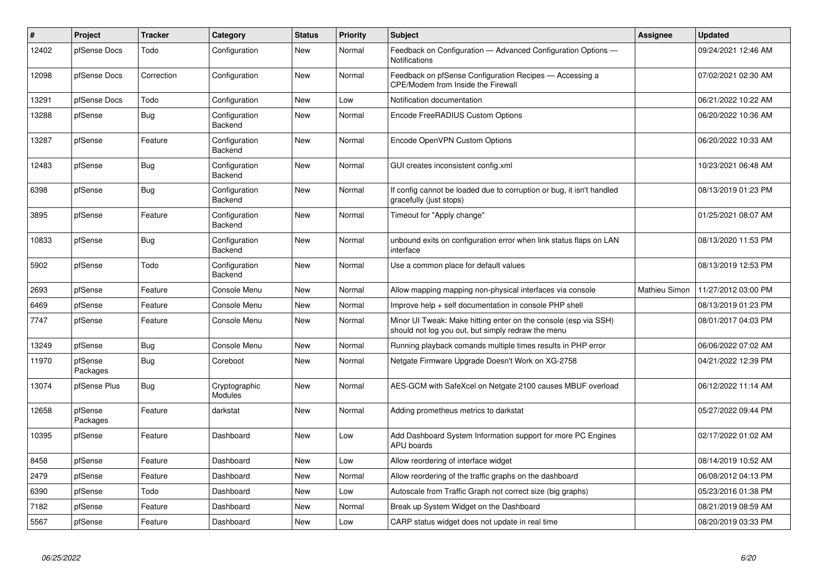| #     | Project             | <b>Tracker</b> | Category                        | <b>Status</b> | <b>Priority</b> | <b>Subject</b>                                                                                                        | <b>Assignee</b> | <b>Updated</b>      |
|-------|---------------------|----------------|---------------------------------|---------------|-----------------|-----------------------------------------------------------------------------------------------------------------------|-----------------|---------------------|
| 12402 | pfSense Docs        | Todo           | Configuration                   | <b>New</b>    | Normal          | Feedback on Configuration - Advanced Configuration Options -<br>Notifications                                         |                 | 09/24/2021 12:46 AM |
| 12098 | pfSense Docs        | Correction     | Configuration                   | New           | Normal          | Feedback on pfSense Configuration Recipes - Accessing a<br><b>CPE/Modem from Inside the Firewall</b>                  |                 | 07/02/2021 02:30 AM |
| 13291 | pfSense Docs        | Todo           | Configuration                   | New           | Low             | Notification documentation                                                                                            |                 | 06/21/2022 10:22 AM |
| 13288 | pfSense             | Bug            | Configuration<br>Backend        | New           | Normal          | Encode FreeRADIUS Custom Options                                                                                      |                 | 06/20/2022 10:36 AM |
| 13287 | pfSense             | Feature        | Configuration<br>Backend        | New           | Normal          | Encode OpenVPN Custom Options                                                                                         |                 | 06/20/2022 10:33 AM |
| 12483 | pfSense             | <b>Bug</b>     | Configuration<br>Backend        | New           | Normal          | GUI creates inconsistent config.xml                                                                                   |                 | 10/23/2021 06:48 AM |
| 6398  | pfSense             | Bug            | Configuration<br>Backend        | New           | Normal          | If config cannot be loaded due to corruption or bug, it isn't handled<br>gracefully (just stops)                      |                 | 08/13/2019 01:23 PM |
| 3895  | pfSense             | Feature        | Configuration<br>Backend        | <b>New</b>    | Normal          | Timeout for "Apply change"                                                                                            |                 | 01/25/2021 08:07 AM |
| 10833 | pfSense             | Bug            | Configuration<br>Backend        | <b>New</b>    | Normal          | unbound exits on configuration error when link status flaps on LAN<br>interface                                       |                 | 08/13/2020 11:53 PM |
| 5902  | pfSense             | Todo           | Configuration<br>Backend        | New           | Normal          | Use a common place for default values                                                                                 |                 | 08/13/2019 12:53 PM |
| 2693  | pfSense             | Feature        | Console Menu                    | New           | Normal          | Allow mapping mapping non-physical interfaces via console                                                             | Mathieu Simon   | 11/27/2012 03:00 PM |
| 6469  | pfSense             | Feature        | Console Menu                    | <b>New</b>    | Normal          | Improve help + self documentation in console PHP shell                                                                |                 | 08/13/2019 01:23 PM |
| 7747  | pfSense             | Feature        | Console Menu                    | <b>New</b>    | Normal          | Minor UI Tweak: Make hitting enter on the console (esp via SSH)<br>should not log you out, but simply redraw the menu |                 | 08/01/2017 04:03 PM |
| 13249 | pfSense             | <b>Bug</b>     | Console Menu                    | New           | Normal          | Running playback comands multiple times results in PHP error                                                          |                 | 06/06/2022 07:02 AM |
| 11970 | pfSense<br>Packages | Bug            | Coreboot                        | <b>New</b>    | Normal          | Netgate Firmware Upgrade Doesn't Work on XG-2758                                                                      |                 | 04/21/2022 12:39 PM |
| 13074 | pfSense Plus        | <b>Bug</b>     | Cryptographic<br><b>Modules</b> | New           | Normal          | AES-GCM with SafeXcel on Netgate 2100 causes MBUF overload                                                            |                 | 06/12/2022 11:14 AM |
| 12658 | pfSense<br>Packages | Feature        | darkstat                        | New           | Normal          | Adding prometheus metrics to darkstat                                                                                 |                 | 05/27/2022 09:44 PM |
| 10395 | pfSense             | Feature        | Dashboard                       | New           | Low             | Add Dashboard System Information support for more PC Engines<br><b>APU</b> boards                                     |                 | 02/17/2022 01:02 AM |
| 8458  | pfSense             | Feature        | Dashboard                       | New           | Low             | Allow reordering of interface widget                                                                                  |                 | 08/14/2019 10:52 AM |
| 2479  | pfSense             | Feature        | Dashboard                       | <b>New</b>    | Normal          | Allow reordering of the traffic graphs on the dashboard                                                               |                 | 06/08/2012 04:13 PM |
| 6390  | pfSense             | Todo           | Dashboard                       | New           | Low             | Autoscale from Traffic Graph not correct size (big graphs)                                                            |                 | 05/23/2016 01:38 PM |
| 7182  | pfSense             | Feature        | Dashboard                       | New           | Normal          | Break up System Widget on the Dashboard                                                                               |                 | 08/21/2019 08:59 AM |
| 5567  | pfSense             | Feature        | Dashboard                       | New           | Low             | CARP status widget does not update in real time                                                                       |                 | 08/20/2019 03:33 PM |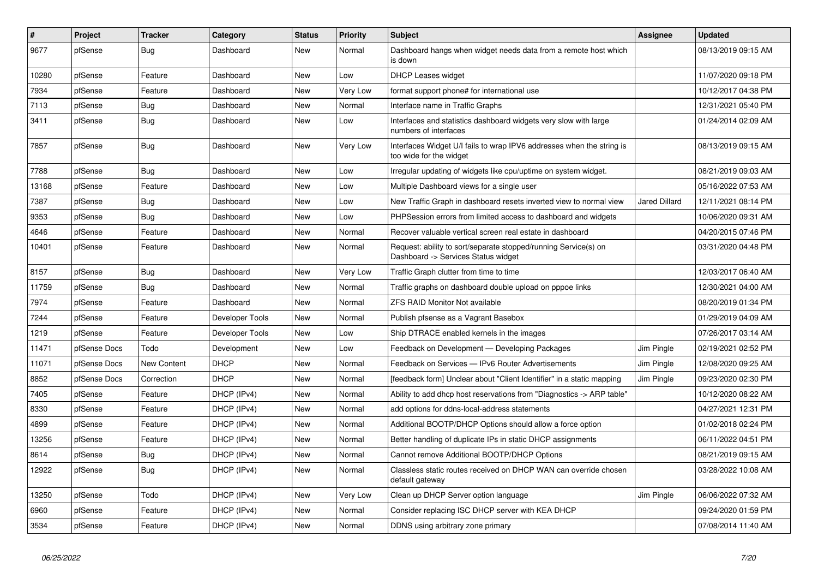| #     | Project      | <b>Tracker</b> | Category        | <b>Status</b> | <b>Priority</b> | <b>Subject</b>                                                                                         | Assignee             | <b>Updated</b>      |
|-------|--------------|----------------|-----------------|---------------|-----------------|--------------------------------------------------------------------------------------------------------|----------------------|---------------------|
| 9677  | pfSense      | Bug            | Dashboard       | New           | Normal          | Dashboard hangs when widget needs data from a remote host which<br>is down                             |                      | 08/13/2019 09:15 AM |
| 10280 | pfSense      | Feature        | Dashboard       | New           | Low             | <b>DHCP Leases widget</b>                                                                              |                      | 11/07/2020 09:18 PM |
| 7934  | pfSense      | Feature        | Dashboard       | New           | Very Low        | format support phone# for international use                                                            |                      | 10/12/2017 04:38 PM |
| 7113  | pfSense      | <b>Bug</b>     | Dashboard       | New           | Normal          | Interface name in Traffic Graphs                                                                       |                      | 12/31/2021 05:40 PM |
| 3411  | pfSense      | <b>Bug</b>     | Dashboard       | New           | Low             | Interfaces and statistics dashboard widgets very slow with large<br>numbers of interfaces              |                      | 01/24/2014 02:09 AM |
| 7857  | pfSense      | Bug            | Dashboard       | New           | Very Low        | Interfaces Widget U/I fails to wrap IPV6 addresses when the string is<br>too wide for the widget       |                      | 08/13/2019 09:15 AM |
| 7788  | pfSense      | <b>Bug</b>     | Dashboard       | <b>New</b>    | Low             | Irregular updating of widgets like cpu/uptime on system widget.                                        |                      | 08/21/2019 09:03 AM |
| 13168 | pfSense      | Feature        | Dashboard       | <b>New</b>    | Low             | Multiple Dashboard views for a single user                                                             |                      | 05/16/2022 07:53 AM |
| 7387  | pfSense      | <b>Bug</b>     | Dashboard       | <b>New</b>    | Low             | New Traffic Graph in dashboard resets inverted view to normal view                                     | <b>Jared Dillard</b> | 12/11/2021 08:14 PM |
| 9353  | pfSense      | <b>Bug</b>     | Dashboard       | New           | Low             | PHPSession errors from limited access to dashboard and widgets                                         |                      | 10/06/2020 09:31 AM |
| 4646  | pfSense      | Feature        | Dashboard       | New           | Normal          | Recover valuable vertical screen real estate in dashboard                                              |                      | 04/20/2015 07:46 PM |
| 10401 | pfSense      | Feature        | Dashboard       | New           | Normal          | Request: ability to sort/separate stopped/running Service(s) on<br>Dashboard -> Services Status widget |                      | 03/31/2020 04:48 PM |
| 8157  | pfSense      | Bug            | Dashboard       | <b>New</b>    | Very Low        | Traffic Graph clutter from time to time                                                                |                      | 12/03/2017 06:40 AM |
| 11759 | pfSense      | <b>Bug</b>     | Dashboard       | <b>New</b>    | Normal          | Traffic graphs on dashboard double upload on pppoe links                                               |                      | 12/30/2021 04:00 AM |
| 7974  | pfSense      | Feature        | Dashboard       | <b>New</b>    | Normal          | <b>ZFS RAID Monitor Not available</b>                                                                  |                      | 08/20/2019 01:34 PM |
| 7244  | pfSense      | Feature        | Developer Tools | <b>New</b>    | Normal          | Publish pfsense as a Vagrant Basebox                                                                   |                      | 01/29/2019 04:09 AM |
| 1219  | pfSense      | Feature        | Developer Tools | <b>New</b>    | Low             | Ship DTRACE enabled kernels in the images                                                              |                      | 07/26/2017 03:14 AM |
| 11471 | pfSense Docs | Todo           | Development     | <b>New</b>    | Low             | Feedback on Development - Developing Packages                                                          | Jim Pingle           | 02/19/2021 02:52 PM |
| 11071 | pfSense Docs | New Content    | <b>DHCP</b>     | <b>New</b>    | Normal          | Feedback on Services - IPv6 Router Advertisements                                                      | Jim Pingle           | 12/08/2020 09:25 AM |
| 8852  | pfSense Docs | Correction     | <b>DHCP</b>     | <b>New</b>    | Normal          | [feedback form] Unclear about "Client Identifier" in a static mapping                                  | Jim Pingle           | 09/23/2020 02:30 PM |
| 7405  | pfSense      | Feature        | DHCP (IPv4)     | <b>New</b>    | Normal          | Ability to add dhcp host reservations from "Diagnostics -> ARP table"                                  |                      | 10/12/2020 08:22 AM |
| 8330  | pfSense      | Feature        | DHCP (IPv4)     | <b>New</b>    | Normal          | add options for ddns-local-address statements                                                          |                      | 04/27/2021 12:31 PM |
| 4899  | pfSense      | Feature        | DHCP (IPv4)     | New           | Normal          | Additional BOOTP/DHCP Options should allow a force option                                              |                      | 01/02/2018 02:24 PM |
| 13256 | pfSense      | Feature        | DHCP (IPv4)     | New           | Normal          | Better handling of duplicate IPs in static DHCP assignments                                            |                      | 06/11/2022 04:51 PM |
| 8614  | pfSense      | Bug            | DHCP (IPv4)     | New           | Normal          | Cannot remove Additional BOOTP/DHCP Options                                                            |                      | 08/21/2019 09:15 AM |
| 12922 | pfSense      | <b>Bug</b>     | DHCP (IPv4)     | New           | Normal          | Classless static routes received on DHCP WAN can override chosen<br>default gateway                    |                      | 03/28/2022 10:08 AM |
| 13250 | pfSense      | Todo           | DHCP (IPv4)     | <b>New</b>    | Very Low        | Clean up DHCP Server option language                                                                   | Jim Pingle           | 06/06/2022 07:32 AM |
| 6960  | pfSense      | Feature        | DHCP (IPv4)     | <b>New</b>    | Normal          | Consider replacing ISC DHCP server with KEA DHCP                                                       |                      | 09/24/2020 01:59 PM |
| 3534  | pfSense      | Feature        | DHCP (IPv4)     | New           | Normal          | DDNS using arbitrary zone primary                                                                      |                      | 07/08/2014 11:40 AM |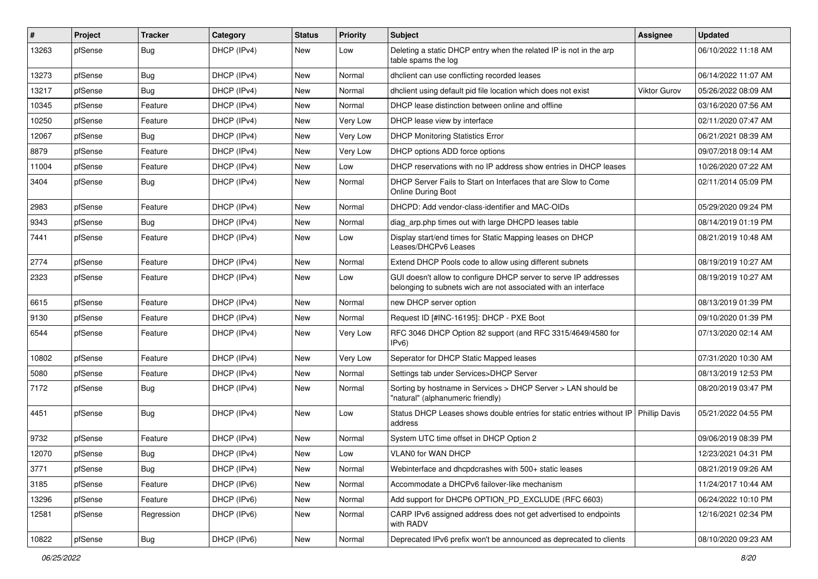| #     | Project | <b>Tracker</b>   | Category    | <b>Status</b> | Priority | <b>Subject</b>                                                                                                                     | <b>Assignee</b>      | <b>Updated</b>      |
|-------|---------|------------------|-------------|---------------|----------|------------------------------------------------------------------------------------------------------------------------------------|----------------------|---------------------|
| 13263 | pfSense | <b>Bug</b>       | DHCP (IPv4) | New           | Low      | Deleting a static DHCP entry when the related IP is not in the arp<br>table spams the log                                          |                      | 06/10/2022 11:18 AM |
| 13273 | pfSense | Bug              | DHCP (IPv4) | New           | Normal   | dhclient can use conflicting recorded leases                                                                                       |                      | 06/14/2022 11:07 AM |
| 13217 | pfSense | <b>Bug</b>       | DHCP (IPv4) | New           | Normal   | dhclient using default pid file location which does not exist                                                                      | <b>Viktor Gurov</b>  | 05/26/2022 08:09 AM |
| 10345 | pfSense | Feature          | DHCP (IPv4) | New           | Normal   | DHCP lease distinction between online and offline                                                                                  |                      | 03/16/2020 07:56 AM |
| 10250 | pfSense | Feature          | DHCP (IPv4) | New           | Very Low | DHCP lease view by interface                                                                                                       |                      | 02/11/2020 07:47 AM |
| 12067 | pfSense | <b>Bug</b>       | DHCP (IPv4) | New           | Very Low | <b>DHCP Monitoring Statistics Error</b>                                                                                            |                      | 06/21/2021 08:39 AM |
| 8879  | pfSense | Feature          | DHCP (IPv4) | New           | Very Low | DHCP options ADD force options                                                                                                     |                      | 09/07/2018 09:14 AM |
| 11004 | pfSense | Feature          | DHCP (IPv4) | New           | Low      | DHCP reservations with no IP address show entries in DHCP leases                                                                   |                      | 10/26/2020 07:22 AM |
| 3404  | pfSense | <b>Bug</b>       | DHCP (IPv4) | New           | Normal   | DHCP Server Fails to Start on Interfaces that are Slow to Come<br>Online During Boot                                               |                      | 02/11/2014 05:09 PM |
| 2983  | pfSense | Feature          | DHCP (IPv4) | New           | Normal   | DHCPD: Add vendor-class-identifier and MAC-OIDs                                                                                    |                      | 05/29/2020 09:24 PM |
| 9343  | pfSense | <b>Bug</b>       | DHCP (IPv4) | New           | Normal   | diag_arp.php times out with large DHCPD leases table                                                                               |                      | 08/14/2019 01:19 PM |
| 7441  | pfSense | Feature          | DHCP (IPv4) | New           | Low      | Display start/end times for Static Mapping leases on DHCP<br>Leases/DHCPv6 Leases                                                  |                      | 08/21/2019 10:48 AM |
| 2774  | pfSense | Feature          | DHCP (IPv4) | New           | Normal   | Extend DHCP Pools code to allow using different subnets                                                                            |                      | 08/19/2019 10:27 AM |
| 2323  | pfSense | Feature          | DHCP (IPv4) | New           | Low      | GUI doesn't allow to configure DHCP server to serve IP addresses<br>belonging to subnets wich are not associated with an interface |                      | 08/19/2019 10:27 AM |
| 6615  | pfSense | Feature          | DHCP (IPv4) | New           | Normal   | new DHCP server option                                                                                                             |                      | 08/13/2019 01:39 PM |
| 9130  | pfSense | Feature          | DHCP (IPv4) | New           | Normal   | Request ID [#INC-16195]: DHCP - PXE Boot                                                                                           |                      | 09/10/2020 01:39 PM |
| 6544  | pfSense | Feature          | DHCP (IPv4) | <b>New</b>    | Very Low | RFC 3046 DHCP Option 82 support (and RFC 3315/4649/4580 for<br>IPv6)                                                               |                      | 07/13/2020 02:14 AM |
| 10802 | pfSense | Feature          | DHCP (IPv4) | New           | Very Low | Seperator for DHCP Static Mapped leases                                                                                            |                      | 07/31/2020 10:30 AM |
| 5080  | pfSense | Feature          | DHCP (IPv4) | <b>New</b>    | Normal   | Settings tab under Services>DHCP Server                                                                                            |                      | 08/13/2019 12:53 PM |
| 7172  | pfSense | <b>Bug</b>       | DHCP (IPv4) | New           | Normal   | Sorting by hostname in Services > DHCP Server > LAN should be<br>"natural" (alphanumeric friendly)                                 |                      | 08/20/2019 03:47 PM |
| 4451  | pfSense | <b>Bug</b>       | DHCP (IPv4) | New           | Low      | Status DHCP Leases shows double entries for static entries without IP<br>address                                                   | <b>Phillip Davis</b> | 05/21/2022 04:55 PM |
| 9732  | pfSense | Feature          | DHCP (IPv4) | <b>New</b>    | Normal   | System UTC time offset in DHCP Option 2                                                                                            |                      | 09/06/2019 08:39 PM |
| 12070 | pfSense | <b>Bug</b>       | DHCP (IPv4) | New           | Low      | VLAN0 for WAN DHCP                                                                                                                 |                      | 12/23/2021 04:31 PM |
| 3771  | pfSense | <b>Bug</b>       | DHCP (IPv4) | New           | Normal   | Webinterface and dhcpdcrashes with 500+ static leases                                                                              |                      | 08/21/2019 09:26 AM |
| 3185  | pfSense | Feature          | DHCP (IPv6) | New           | Normal   | Accommodate a DHCPv6 failover-like mechanism                                                                                       |                      | 11/24/2017 10:44 AM |
| 13296 | pfSense | Feature          | DHCP (IPv6) | New           | Normal   | Add support for DHCP6 OPTION_PD_EXCLUDE (RFC 6603)                                                                                 |                      | 06/24/2022 10:10 PM |
| 12581 | pfSense | Regression       | DHCP (IPv6) | New           | Normal   | CARP IPv6 assigned address does not get advertised to endpoints<br>with RADV                                                       |                      | 12/16/2021 02:34 PM |
| 10822 | pfSense | <sub>I</sub> Bug | DHCP (IPv6) | New           | Normal   | Deprecated IPv6 prefix won't be announced as deprecated to clients                                                                 |                      | 08/10/2020 09:23 AM |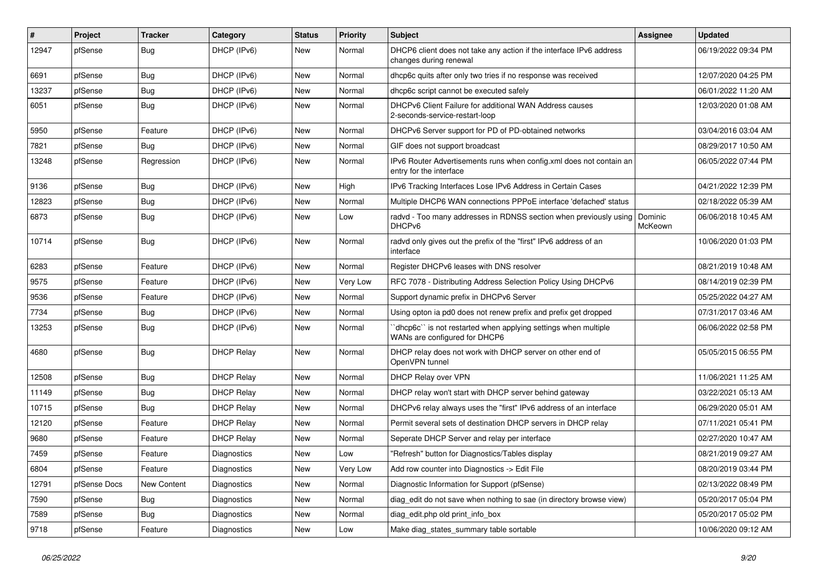| $\#$  | Project      | <b>Tracker</b> | Category           | <b>Status</b> | <b>Priority</b> | Subject                                                                                          | Assignee           | <b>Updated</b>      |
|-------|--------------|----------------|--------------------|---------------|-----------------|--------------------------------------------------------------------------------------------------|--------------------|---------------------|
| 12947 | pfSense      | <b>Bug</b>     | DHCP (IPv6)        | New           | Normal          | DHCP6 client does not take any action if the interface IPv6 address<br>changes during renewal    |                    | 06/19/2022 09:34 PM |
| 6691  | pfSense      | Bug            | DHCP (IPv6)        | New           | Normal          | dhcp6c quits after only two tries if no response was received                                    |                    | 12/07/2020 04:25 PM |
| 13237 | pfSense      | Bug            | DHCP (IPv6)        | New           | Normal          | dhcp6c script cannot be executed safely                                                          |                    | 06/01/2022 11:20 AM |
| 6051  | pfSense      | Bug            | DHCP (IPv6)        | New           | Normal          | DHCPv6 Client Failure for additional WAN Address causes<br>2-seconds-service-restart-loop        |                    | 12/03/2020 01:08 AM |
| 5950  | pfSense      | Feature        | DHCP (IPv6)        | New           | Normal          | DHCPv6 Server support for PD of PD-obtained networks                                             |                    | 03/04/2016 03:04 AM |
| 7821  | pfSense      | <b>Bug</b>     | DHCP (IPv6)        | New           | Normal          | GIF does not support broadcast                                                                   |                    | 08/29/2017 10:50 AM |
| 13248 | pfSense      | Regression     | DHCP (IPv6)        | New           | Normal          | IPv6 Router Advertisements runs when config.xml does not contain an<br>entry for the interface   |                    | 06/05/2022 07:44 PM |
| 9136  | pfSense      | <b>Bug</b>     | DHCP (IPv6)        | New           | High            | IPv6 Tracking Interfaces Lose IPv6 Address in Certain Cases                                      |                    | 04/21/2022 12:39 PM |
| 12823 | pfSense      | <b>Bug</b>     | DHCP (IPv6)        | New           | Normal          | Multiple DHCP6 WAN connections PPPoE interface 'defached' status                                 |                    | 02/18/2022 05:39 AM |
| 6873  | pfSense      | <b>Bug</b>     | DHCP (IPv6)        | New           | Low             | radvd - Too many addresses in RDNSS section when previously using<br>DHCP <sub>v6</sub>          | Dominic<br>McKeown | 06/06/2018 10:45 AM |
| 10714 | pfSense      | <b>Bug</b>     | DHCP (IPv6)        | New           | Normal          | radvd only gives out the prefix of the "first" IPv6 address of an<br>interface                   |                    | 10/06/2020 01:03 PM |
| 6283  | pfSense      | Feature        | DHCP (IPv6)        | New           | Normal          | Register DHCPv6 leases with DNS resolver                                                         |                    | 08/21/2019 10:48 AM |
| 9575  | pfSense      | Feature        | DHCP (IPv6)        | New           | Very Low        | RFC 7078 - Distributing Address Selection Policy Using DHCPv6                                    |                    | 08/14/2019 02:39 PM |
| 9536  | pfSense      | Feature        | DHCP (IPv6)        | New           | Normal          | Support dynamic prefix in DHCPv6 Server                                                          |                    | 05/25/2022 04:27 AM |
| 7734  | pfSense      | Bug            | DHCP (IPv6)        | New           | Normal          | Using opton ia pd0 does not renew prefix and prefix get dropped                                  |                    | 07/31/2017 03:46 AM |
| 13253 | pfSense      | Bug            | DHCP (IPv6)        | New           | Normal          | 'dhcp6c'' is not restarted when applying settings when multiple<br>WANs are configured for DHCP6 |                    | 06/06/2022 02:58 PM |
| 4680  | pfSense      | <b>Bug</b>     | <b>DHCP Relay</b>  | New           | Normal          | DHCP relay does not work with DHCP server on other end of<br>OpenVPN tunnel                      |                    | 05/05/2015 06:55 PM |
| 12508 | pfSense      | <b>Bug</b>     | <b>DHCP Relay</b>  | New           | Normal          | DHCP Relay over VPN                                                                              |                    | 11/06/2021 11:25 AM |
| 11149 | pfSense      | <b>Bug</b>     | <b>DHCP Relay</b>  | New           | Normal          | DHCP relay won't start with DHCP server behind gateway                                           |                    | 03/22/2021 05:13 AM |
| 10715 | pfSense      | <b>Bug</b>     | <b>DHCP Relay</b>  | New           | Normal          | DHCPv6 relay always uses the "first" IPv6 address of an interface                                |                    | 06/29/2020 05:01 AM |
| 12120 | pfSense      | Feature        | <b>DHCP Relay</b>  | New           | Normal          | Permit several sets of destination DHCP servers in DHCP relay                                    |                    | 07/11/2021 05:41 PM |
| 9680  | pfSense      | Feature        | <b>DHCP Relay</b>  | New           | Normal          | Seperate DHCP Server and relay per interface                                                     |                    | 02/27/2020 10:47 AM |
| 7459  | pfSense      | Feature        | <b>Diagnostics</b> | New           | Low             | "Refresh" button for Diagnostics/Tables display                                                  |                    | 08/21/2019 09:27 AM |
| 6804  | pfSense      | Feature        | Diagnostics        | New           | Very Low        | Add row counter into Diagnostics -> Edit File                                                    |                    | 08/20/2019 03:44 PM |
| 12791 | pfSense Docs | New Content    | Diagnostics        | New           | Normal          | Diagnostic Information for Support (pfSense)                                                     |                    | 02/13/2022 08:49 PM |
| 7590  | pfSense      | <b>Bug</b>     | Diagnostics        | New           | Normal          | diag edit do not save when nothing to sae (in directory browse view)                             |                    | 05/20/2017 05:04 PM |
| 7589  | pfSense      | <b>Bug</b>     | Diagnostics        | New           | Normal          | diag edit.php old print info box                                                                 |                    | 05/20/2017 05:02 PM |
| 9718  | pfSense      | Feature        | Diagnostics        | New           | Low             | Make diag states summary table sortable                                                          |                    | 10/06/2020 09:12 AM |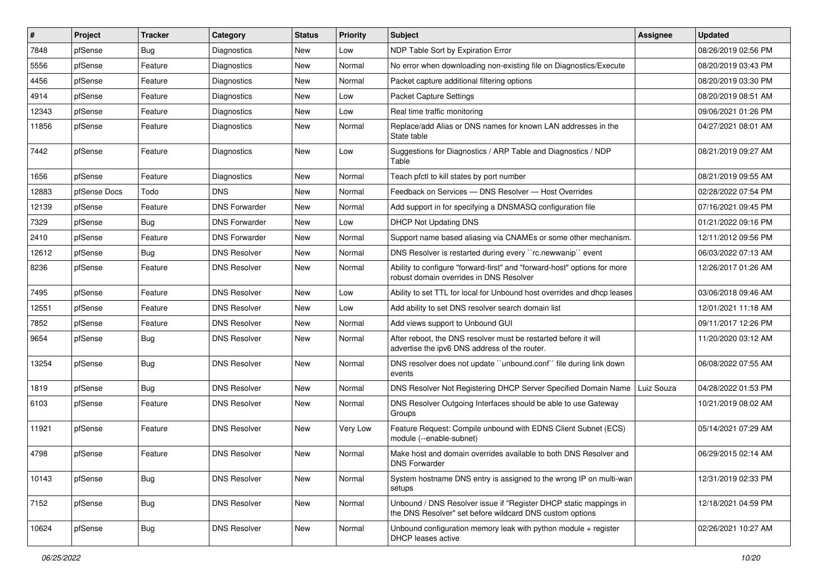| $\vert$ # | Project      | <b>Tracker</b> | Category             | <b>Status</b> | <b>Priority</b> | Subject                                                                                                                       | <b>Assignee</b> | <b>Updated</b>      |
|-----------|--------------|----------------|----------------------|---------------|-----------------|-------------------------------------------------------------------------------------------------------------------------------|-----------------|---------------------|
| 7848      | pfSense      | <b>Bug</b>     | Diagnostics          | New           | Low             | NDP Table Sort by Expiration Error                                                                                            |                 | 08/26/2019 02:56 PM |
| 5556      | pfSense      | Feature        | Diagnostics          | <b>New</b>    | Normal          | No error when downloading non-existing file on Diagnostics/Execute                                                            |                 | 08/20/2019 03:43 PM |
| 4456      | pfSense      | Feature        | <b>Diagnostics</b>   | New           | Normal          | Packet capture additional filtering options                                                                                   |                 | 08/20/2019 03:30 PM |
| 4914      | pfSense      | Feature        | Diagnostics          | <b>New</b>    | Low             | Packet Capture Settings                                                                                                       |                 | 08/20/2019 08:51 AM |
| 12343     | pfSense      | Feature        | Diagnostics          | New           | Low             | Real time traffic monitoring                                                                                                  |                 | 09/06/2021 01:26 PM |
| 11856     | pfSense      | Feature        | Diagnostics          | New           | Normal          | Replace/add Alias or DNS names for known LAN addresses in the<br>State table                                                  |                 | 04/27/2021 08:01 AM |
| 7442      | pfSense      | Feature        | <b>Diagnostics</b>   | New           | Low             | Suggestions for Diagnostics / ARP Table and Diagnostics / NDP<br>Table                                                        |                 | 08/21/2019 09:27 AM |
| 1656      | pfSense      | Feature        | Diagnostics          | <b>New</b>    | Normal          | Teach pfctl to kill states by port number                                                                                     |                 | 08/21/2019 09:55 AM |
| 12883     | pfSense Docs | Todo           | <b>DNS</b>           | New           | Normal          | Feedback on Services - DNS Resolver - Host Overrides                                                                          |                 | 02/28/2022 07:54 PM |
| 12139     | pfSense      | Feature        | <b>DNS Forwarder</b> | New           | Normal          | Add support in for specifying a DNSMASQ configuration file                                                                    |                 | 07/16/2021 09:45 PM |
| 7329      | pfSense      | <b>Bug</b>     | <b>DNS Forwarder</b> | New           | Low             | <b>DHCP Not Updating DNS</b>                                                                                                  |                 | 01/21/2022 09:16 PM |
| 2410      | pfSense      | Feature        | <b>DNS Forwarder</b> | New           | Normal          | Support name based aliasing via CNAMEs or some other mechanism.                                                               |                 | 12/11/2012 09:56 PM |
| 12612     | pfSense      | <b>Bug</b>     | <b>DNS Resolver</b>  | New           | Normal          | DNS Resolver is restarted during every "rc.newwanip" event                                                                    |                 | 06/03/2022 07:13 AM |
| 8236      | pfSense      | Feature        | <b>DNS Resolver</b>  | New           | Normal          | Ability to configure "forward-first" and "forward-host" options for more<br>robust domain overrides in DNS Resolver           |                 | 12/26/2017 01:26 AM |
| 7495      | pfSense      | Feature        | <b>DNS Resolver</b>  | <b>New</b>    | Low             | Ability to set TTL for local for Unbound host overrides and dhcp leases                                                       |                 | 03/06/2018 09:46 AM |
| 12551     | pfSense      | Feature        | <b>DNS Resolver</b>  | New           | Low             | Add ability to set DNS resolver search domain list                                                                            |                 | 12/01/2021 11:18 AM |
| 7852      | pfSense      | Feature        | <b>DNS Resolver</b>  | New           | Normal          | Add views support to Unbound GUI                                                                                              |                 | 09/11/2017 12:26 PM |
| 9654      | pfSense      | <b>Bug</b>     | <b>DNS Resolver</b>  | New           | Normal          | After reboot, the DNS resolver must be restarted before it will<br>advertise the ipv6 DNS address of the router.              |                 | 11/20/2020 03:12 AM |
| 13254     | pfSense      | <b>Bug</b>     | <b>DNS Resolver</b>  | New           | Normal          | DNS resolver does not update "unbound.conf" file during link down<br>events                                                   |                 | 06/08/2022 07:55 AM |
| 1819      | pfSense      | Bug            | <b>DNS Resolver</b>  | New           | Normal          | DNS Resolver Not Registering DHCP Server Specified Domain Name                                                                | Luiz Souza      | 04/28/2022 01:53 PM |
| 6103      | pfSense      | Feature        | <b>DNS Resolver</b>  | New           | Normal          | DNS Resolver Outgoing Interfaces should be able to use Gateway<br>Groups                                                      |                 | 10/21/2019 08:02 AM |
| 11921     | pfSense      | Feature        | <b>DNS Resolver</b>  | New           | Very Low        | Feature Request: Compile unbound with EDNS Client Subnet (ECS)<br>module (--enable-subnet)                                    |                 | 05/14/2021 07:29 AM |
| 4798      | pfSense      | Feature        | <b>DNS Resolver</b>  | New           | Normal          | Make host and domain overrides available to both DNS Resolver and<br><b>DNS Forwarder</b>                                     |                 | 06/29/2015 02:14 AM |
| 10143     | pfSense      | <b>Bug</b>     | <b>DNS Resolver</b>  | New           | Normal          | System hostname DNS entry is assigned to the wrong IP on multi-wan<br>setups                                                  |                 | 12/31/2019 02:33 PM |
| 7152      | pfSense      | Bug            | <b>DNS Resolver</b>  | New           | Normal          | Unbound / DNS Resolver issue if "Register DHCP static mappings in<br>the DNS Resolver" set before wildcard DNS custom options |                 | 12/18/2021 04:59 PM |
| 10624     | pfSense      | <b>Bug</b>     | <b>DNS Resolver</b>  | New           | Normal          | Unbound configuration memory leak with python module $+$ register<br>DHCP leases active                                       |                 | 02/26/2021 10:27 AM |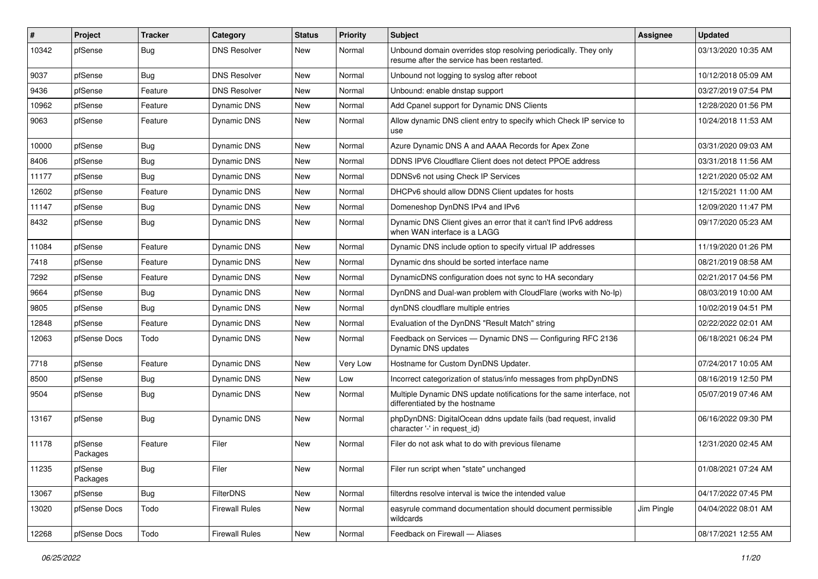| $\vert$ # | Project             | <b>Tracker</b> | Category              | <b>Status</b> | <b>Priority</b> | Subject                                                                                                         | <b>Assignee</b> | <b>Updated</b>      |
|-----------|---------------------|----------------|-----------------------|---------------|-----------------|-----------------------------------------------------------------------------------------------------------------|-----------------|---------------------|
| 10342     | pfSense             | Bug            | <b>DNS Resolver</b>   | New           | Normal          | Unbound domain overrides stop resolving periodically. They only<br>resume after the service has been restarted. |                 | 03/13/2020 10:35 AM |
| 9037      | pfSense             | Bug            | <b>DNS Resolver</b>   | New           | Normal          | Unbound not logging to syslog after reboot                                                                      |                 | 10/12/2018 05:09 AM |
| 9436      | pfSense             | Feature        | <b>DNS Resolver</b>   | New           | Normal          | Unbound: enable dnstap support                                                                                  |                 | 03/27/2019 07:54 PM |
| 10962     | pfSense             | Feature        | Dynamic DNS           | New           | Normal          | Add Cpanel support for Dynamic DNS Clients                                                                      |                 | 12/28/2020 01:56 PM |
| 9063      | pfSense             | Feature        | Dynamic DNS           | New           | Normal          | Allow dynamic DNS client entry to specify which Check IP service to<br>use                                      |                 | 10/24/2018 11:53 AM |
| 10000     | pfSense             | <b>Bug</b>     | <b>Dynamic DNS</b>    | <b>New</b>    | Normal          | Azure Dynamic DNS A and AAAA Records for Apex Zone                                                              |                 | 03/31/2020 09:03 AM |
| 8406      | pfSense             | Bug            | Dynamic DNS           | New           | Normal          | DDNS IPV6 Cloudflare Client does not detect PPOE address                                                        |                 | 03/31/2018 11:56 AM |
| 11177     | pfSense             | <b>Bug</b>     | <b>Dynamic DNS</b>    | New           | Normal          | DDNSv6 not using Check IP Services                                                                              |                 | 12/21/2020 05:02 AM |
| 12602     | pfSense             | Feature        | Dynamic DNS           | New           | Normal          | DHCPv6 should allow DDNS Client updates for hosts                                                               |                 | 12/15/2021 11:00 AM |
| 11147     | pfSense             | Bug            | Dynamic DNS           | New           | Normal          | Domeneshop DynDNS IPv4 and IPv6                                                                                 |                 | 12/09/2020 11:47 PM |
| 8432      | pfSense             | <b>Bug</b>     | <b>Dynamic DNS</b>    | New           | Normal          | Dynamic DNS Client gives an error that it can't find IPv6 address<br>when WAN interface is a LAGG               |                 | 09/17/2020 05:23 AM |
| 11084     | pfSense             | Feature        | Dynamic DNS           | New           | Normal          | Dynamic DNS include option to specify virtual IP addresses                                                      |                 | 11/19/2020 01:26 PM |
| 7418      | pfSense             | Feature        | Dynamic DNS           | New           | Normal          | Dynamic dns should be sorted interface name                                                                     |                 | 08/21/2019 08:58 AM |
| 7292      | pfSense             | Feature        | Dynamic DNS           | New           | Normal          | DynamicDNS configuration does not sync to HA secondary                                                          |                 | 02/21/2017 04:56 PM |
| 9664      | pfSense             | Bug            | Dynamic DNS           | New           | Normal          | DynDNS and Dual-wan problem with CloudFlare (works with No-Ip)                                                  |                 | 08/03/2019 10:00 AM |
| 9805      | pfSense             | Bug            | Dynamic DNS           | New           | Normal          | dynDNS cloudflare multiple entries                                                                              |                 | 10/02/2019 04:51 PM |
| 12848     | pfSense             | Feature        | Dynamic DNS           | New           | Normal          | Evaluation of the DynDNS "Result Match" string                                                                  |                 | 02/22/2022 02:01 AM |
| 12063     | pfSense Docs        | Todo           | <b>Dynamic DNS</b>    | <b>New</b>    | Normal          | Feedback on Services - Dynamic DNS - Configuring RFC 2136<br>Dynamic DNS updates                                |                 | 06/18/2021 06:24 PM |
| 7718      | pfSense             | Feature        | <b>Dynamic DNS</b>    | New           | Very Low        | Hostname for Custom DynDNS Updater.                                                                             |                 | 07/24/2017 10:05 AM |
| 8500      | pfSense             | Bug            | Dynamic DNS           | New           | Low             | Incorrect categorization of status/info messages from phpDynDNS                                                 |                 | 08/16/2019 12:50 PM |
| 9504      | pfSense             | <b>Bug</b>     | Dynamic DNS           | New           | Normal          | Multiple Dynamic DNS update notifications for the same interface, not<br>differentiated by the hostname         |                 | 05/07/2019 07:46 AM |
| 13167     | pfSense             | <b>Bug</b>     | <b>Dynamic DNS</b>    | New           | Normal          | phpDynDNS: DigitalOcean ddns update fails (bad request, invalid<br>character '-' in request id)                 |                 | 06/16/2022 09:30 PM |
| 11178     | pfSense<br>Packages | Feature        | Filer                 | <b>New</b>    | Normal          | Filer do not ask what to do with previous filename                                                              |                 | 12/31/2020 02:45 AM |
| 11235     | pfSense<br>Packages | <b>Bug</b>     | Filer                 | New           | Normal          | Filer run script when "state" unchanged                                                                         |                 | 01/08/2021 07:24 AM |
| 13067     | pfSense             | Bug            | FilterDNS             | New           | Normal          | filterdns resolve interval is twice the intended value                                                          |                 | 04/17/2022 07:45 PM |
| 13020     | pfSense Docs        | Todo           | <b>Firewall Rules</b> | New           | Normal          | easyrule command documentation should document permissible<br>wildcards                                         | Jim Pingle      | 04/04/2022 08:01 AM |
| 12268     | pfSense Docs        | Todo           | <b>Firewall Rules</b> | New           | Normal          | Feedback on Firewall - Aliases                                                                                  |                 | 08/17/2021 12:55 AM |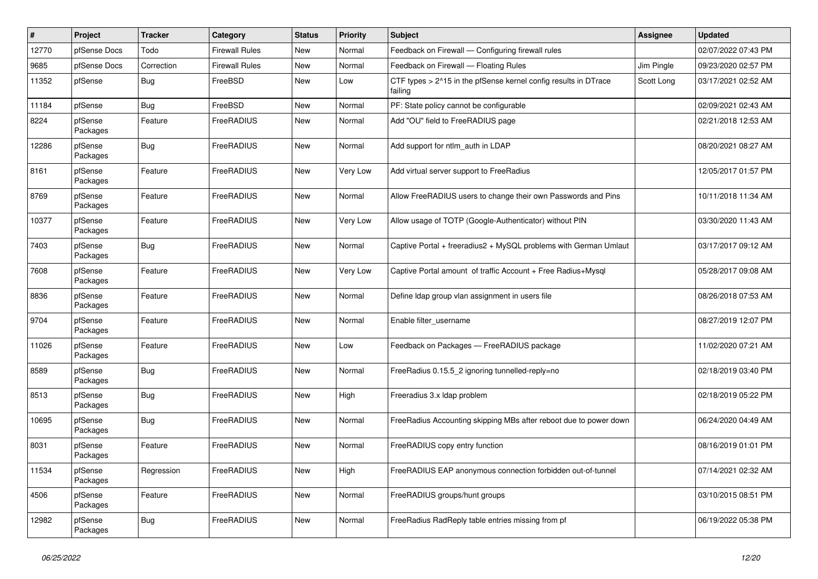| $\sharp$ | Project             | <b>Tracker</b> | Category              | <b>Status</b> | <b>Priority</b> | <b>Subject</b>                                                             | Assignee   | <b>Updated</b>      |
|----------|---------------------|----------------|-----------------------|---------------|-----------------|----------------------------------------------------------------------------|------------|---------------------|
| 12770    | pfSense Docs        | Todo           | <b>Firewall Rules</b> | <b>New</b>    | Normal          | Feedback on Firewall - Configuring firewall rules                          |            | 02/07/2022 07:43 PM |
| 9685     | pfSense Docs        | Correction     | <b>Firewall Rules</b> | <b>New</b>    | Normal          | Feedback on Firewall - Floating Rules                                      | Jim Pingle | 09/23/2020 02:57 PM |
| 11352    | pfSense             | <b>Bug</b>     | FreeBSD               | New           | Low             | CTF types > 2^15 in the pfSense kernel config results in DTrace<br>failing | Scott Long | 03/17/2021 02:52 AM |
| 11184    | pfSense             | <b>Bug</b>     | FreeBSD               | New           | Normal          | PF: State policy cannot be configurable                                    |            | 02/09/2021 02:43 AM |
| 8224     | pfSense<br>Packages | Feature        | FreeRADIUS            | New           | Normal          | Add "OU" field to FreeRADIUS page                                          |            | 02/21/2018 12:53 AM |
| 12286    | pfSense<br>Packages | Bug            | <b>FreeRADIUS</b>     | New           | Normal          | Add support for ntlm auth in LDAP                                          |            | 08/20/2021 08:27 AM |
| 8161     | pfSense<br>Packages | Feature        | FreeRADIUS            | <b>New</b>    | Very Low        | Add virtual server support to FreeRadius                                   |            | 12/05/2017 01:57 PM |
| 8769     | pfSense<br>Packages | Feature        | FreeRADIUS            | New           | Normal          | Allow FreeRADIUS users to change their own Passwords and Pins              |            | 10/11/2018 11:34 AM |
| 10377    | pfSense<br>Packages | Feature        | FreeRADIUS            | New           | Very Low        | Allow usage of TOTP (Google-Authenticator) without PIN                     |            | 03/30/2020 11:43 AM |
| 7403     | pfSense<br>Packages | Bug            | <b>FreeRADIUS</b>     | <b>New</b>    | Normal          | Captive Portal + freeradius2 + MySQL problems with German Umlaut           |            | 03/17/2017 09:12 AM |
| 7608     | pfSense<br>Packages | Feature        | FreeRADIUS            | New           | Very Low        | Captive Portal amount of traffic Account + Free Radius+Mysql               |            | 05/28/2017 09:08 AM |
| 8836     | pfSense<br>Packages | Feature        | FreeRADIUS            | New           | Normal          | Define Idap group vlan assignment in users file                            |            | 08/26/2018 07:53 AM |
| 9704     | pfSense<br>Packages | Feature        | FreeRADIUS            | <b>New</b>    | Normal          | Enable filter username                                                     |            | 08/27/2019 12:07 PM |
| 11026    | pfSense<br>Packages | Feature        | FreeRADIUS            | New           | Low             | Feedback on Packages - FreeRADIUS package                                  |            | 11/02/2020 07:21 AM |
| 8589     | pfSense<br>Packages | Bug            | FreeRADIUS            | New           | Normal          | FreeRadius 0.15.5 2 ignoring tunnelled-reply=no                            |            | 02/18/2019 03:40 PM |
| 8513     | pfSense<br>Packages | Bug            | FreeRADIUS            | <b>New</b>    | High            | Freeradius 3.x Idap problem                                                |            | 02/18/2019 05:22 PM |
| 10695    | pfSense<br>Packages | <b>Bug</b>     | FreeRADIUS            | New           | Normal          | FreeRadius Accounting skipping MBs after reboot due to power down          |            | 06/24/2020 04:49 AM |
| 8031     | pfSense<br>Packages | Feature        | FreeRADIUS            | New           | Normal          | FreeRADIUS copy entry function                                             |            | 08/16/2019 01:01 PM |
| 11534    | pfSense<br>Packages | Regression     | FreeRADIUS            | New           | High            | FreeRADIUS EAP anonymous connection forbidden out-of-tunnel                |            | 07/14/2021 02:32 AM |
| 4506     | pfSense<br>Packages | Feature        | FreeRADIUS            | New           | Normal          | FreeRADIUS groups/hunt groups                                              |            | 03/10/2015 08:51 PM |
| 12982    | pfSense<br>Packages | <b>Bug</b>     | FreeRADIUS            | New           | Normal          | FreeRadius RadReply table entries missing from pf                          |            | 06/19/2022 05:38 PM |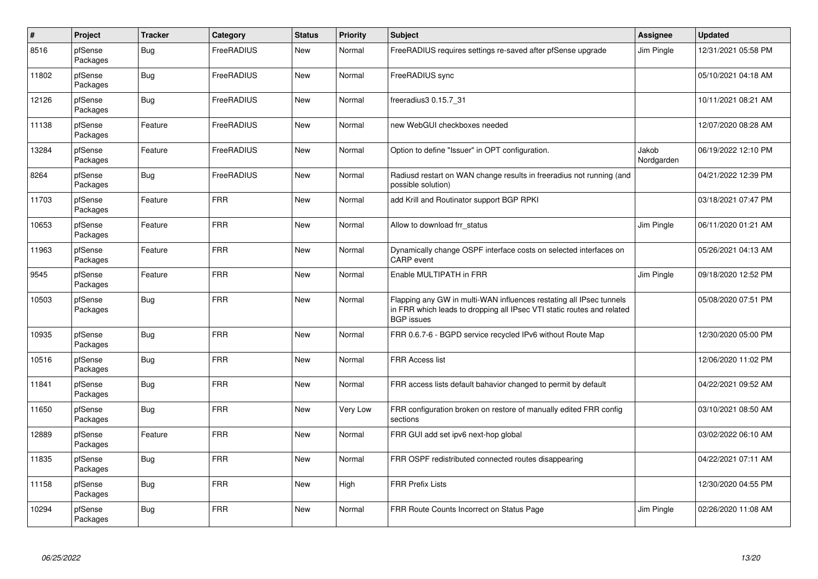| $\vert$ # | Project             | <b>Tracker</b> | Category          | <b>Status</b> | <b>Priority</b> | <b>Subject</b>                                                                                                                                                     | <b>Assignee</b>     | <b>Updated</b>      |
|-----------|---------------------|----------------|-------------------|---------------|-----------------|--------------------------------------------------------------------------------------------------------------------------------------------------------------------|---------------------|---------------------|
| 8516      | pfSense<br>Packages | Bug            | FreeRADIUS        | <b>New</b>    | Normal          | FreeRADIUS requires settings re-saved after pfSense upgrade                                                                                                        | Jim Pingle          | 12/31/2021 05:58 PM |
| 11802     | pfSense<br>Packages | <b>Bug</b>     | <b>FreeRADIUS</b> | <b>New</b>    | Normal          | FreeRADIUS sync                                                                                                                                                    |                     | 05/10/2021 04:18 AM |
| 12126     | pfSense<br>Packages | Bug            | <b>FreeRADIUS</b> | New           | Normal          | freeradius3 0.15.7 31                                                                                                                                              |                     | 10/11/2021 08:21 AM |
| 11138     | pfSense<br>Packages | Feature        | FreeRADIUS        | New           | Normal          | new WebGUI checkboxes needed                                                                                                                                       |                     | 12/07/2020 08:28 AM |
| 13284     | pfSense<br>Packages | Feature        | FreeRADIUS        | <b>New</b>    | Normal          | Option to define "Issuer" in OPT configuration.                                                                                                                    | Jakob<br>Nordgarden | 06/19/2022 12:10 PM |
| 8264      | pfSense<br>Packages | Bug            | <b>FreeRADIUS</b> | <b>New</b>    | Normal          | Radiusd restart on WAN change results in freeradius not running (and<br>possible solution)                                                                         |                     | 04/21/2022 12:39 PM |
| 11703     | pfSense<br>Packages | Feature        | <b>FRR</b>        | <b>New</b>    | Normal          | add Krill and Routinator support BGP RPKI                                                                                                                          |                     | 03/18/2021 07:47 PM |
| 10653     | pfSense<br>Packages | Feature        | <b>FRR</b>        | <b>New</b>    | Normal          | Allow to download frr status                                                                                                                                       | Jim Pingle          | 06/11/2020 01:21 AM |
| 11963     | pfSense<br>Packages | Feature        | <b>FRR</b>        | <b>New</b>    | Normal          | Dynamically change OSPF interface costs on selected interfaces on<br><b>CARP</b> event                                                                             |                     | 05/26/2021 04:13 AM |
| 9545      | pfSense<br>Packages | Feature        | <b>FRR</b>        | <b>New</b>    | Normal          | Enable MULTIPATH in FRR                                                                                                                                            | Jim Pingle          | 09/18/2020 12:52 PM |
| 10503     | pfSense<br>Packages | <b>Bug</b>     | <b>FRR</b>        | <b>New</b>    | Normal          | Flapping any GW in multi-WAN influences restating all IPsec tunnels<br>in FRR which leads to dropping all IPsec VTI static routes and related<br><b>BGP</b> issues |                     | 05/08/2020 07:51 PM |
| 10935     | pfSense<br>Packages | <b>Bug</b>     | <b>FRR</b>        | New           | Normal          | FRR 0.6.7-6 - BGPD service recycled IPv6 without Route Map                                                                                                         |                     | 12/30/2020 05:00 PM |
| 10516     | pfSense<br>Packages | <b>Bug</b>     | <b>FRR</b>        | New           | Normal          | <b>FRR Access list</b>                                                                                                                                             |                     | 12/06/2020 11:02 PM |
| 11841     | pfSense<br>Packages | Bug            | <b>FRR</b>        | New           | Normal          | FRR access lists default bahavior changed to permit by default                                                                                                     |                     | 04/22/2021 09:52 AM |
| 11650     | pfSense<br>Packages | <b>Bug</b>     | <b>FRR</b>        | <b>New</b>    | Very Low        | FRR configuration broken on restore of manually edited FRR config<br>sections                                                                                      |                     | 03/10/2021 08:50 AM |
| 12889     | pfSense<br>Packages | Feature        | <b>FRR</b>        | <b>New</b>    | Normal          | FRR GUI add set ipv6 next-hop global                                                                                                                               |                     | 03/02/2022 06:10 AM |
| 11835     | pfSense<br>Packages | <b>Bug</b>     | <b>FRR</b>        | New           | Normal          | FRR OSPF redistributed connected routes disappearing                                                                                                               |                     | 04/22/2021 07:11 AM |
| 11158     | pfSense<br>Packages | <b>Bug</b>     | <b>FRR</b>        | <b>New</b>    | High            | <b>FRR Prefix Lists</b>                                                                                                                                            |                     | 12/30/2020 04:55 PM |
| 10294     | pfSense<br>Packages | <b>Bug</b>     | <b>FRR</b>        | <b>New</b>    | Normal          | FRR Route Counts Incorrect on Status Page                                                                                                                          | Jim Pingle          | 02/26/2020 11:08 AM |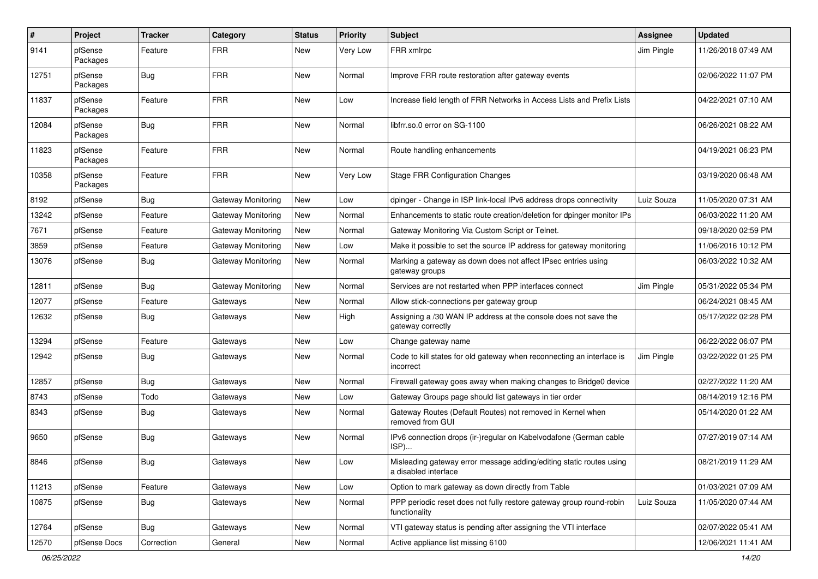| #     | Project             | <b>Tracker</b> | Category                  | <b>Status</b> | <b>Priority</b> | <b>Subject</b>                                                                              | <b>Assignee</b> | <b>Updated</b>      |
|-------|---------------------|----------------|---------------------------|---------------|-----------------|---------------------------------------------------------------------------------------------|-----------------|---------------------|
| 9141  | pfSense<br>Packages | Feature        | <b>FRR</b>                | New           | Very Low        | FRR xmlrpc                                                                                  | Jim Pingle      | 11/26/2018 07:49 AM |
| 12751 | pfSense<br>Packages | <b>Bug</b>     | <b>FRR</b>                | New           | Normal          | Improve FRR route restoration after gateway events                                          |                 | 02/06/2022 11:07 PM |
| 11837 | pfSense<br>Packages | Feature        | <b>FRR</b>                | <b>New</b>    | Low             | Increase field length of FRR Networks in Access Lists and Prefix Lists                      |                 | 04/22/2021 07:10 AM |
| 12084 | pfSense<br>Packages | <b>Bug</b>     | <b>FRR</b>                | New           | Normal          | libfrr.so.0 error on SG-1100                                                                |                 | 06/26/2021 08:22 AM |
| 11823 | pfSense<br>Packages | Feature        | <b>FRR</b>                | <b>New</b>    | Normal          | Route handling enhancements                                                                 |                 | 04/19/2021 06:23 PM |
| 10358 | pfSense<br>Packages | Feature        | <b>FRR</b>                | New           | Very Low        | <b>Stage FRR Configuration Changes</b>                                                      |                 | 03/19/2020 06:48 AM |
| 8192  | pfSense             | Bug            | Gateway Monitoring        | <b>New</b>    | Low             | dpinger - Change in ISP link-local IPv6 address drops connectivity                          | Luiz Souza      | 11/05/2020 07:31 AM |
| 13242 | pfSense             | Feature        | <b>Gateway Monitoring</b> | New           | Normal          | Enhancements to static route creation/deletion for dpinger monitor IPs                      |                 | 06/03/2022 11:20 AM |
| 7671  | pfSense             | Feature        | Gateway Monitoring        | New           | Normal          | Gateway Monitoring Via Custom Script or Telnet.                                             |                 | 09/18/2020 02:59 PM |
| 3859  | pfSense             | Feature        | Gateway Monitoring        | New           | Low             | Make it possible to set the source IP address for gateway monitoring                        |                 | 11/06/2016 10:12 PM |
| 13076 | pfSense             | <b>Bug</b>     | Gateway Monitoring        | New           | Normal          | Marking a gateway as down does not affect IPsec entries using<br>gateway groups             |                 | 06/03/2022 10:32 AM |
| 12811 | pfSense             | Bug            | Gateway Monitoring        | New           | Normal          | Services are not restarted when PPP interfaces connect                                      | Jim Pingle      | 05/31/2022 05:34 PM |
| 12077 | pfSense             | Feature        | Gateways                  | New           | Normal          | Allow stick-connections per gateway group                                                   |                 | 06/24/2021 08:45 AM |
| 12632 | pfSense             | <b>Bug</b>     | Gateways                  | New           | High            | Assigning a /30 WAN IP address at the console does not save the<br>gateway correctly        |                 | 05/17/2022 02:28 PM |
| 13294 | pfSense             | Feature        | Gateways                  | New           | Low             | Change gateway name                                                                         |                 | 06/22/2022 06:07 PM |
| 12942 | pfSense             | Bug            | Gateways                  | New           | Normal          | Code to kill states for old gateway when reconnecting an interface is<br>incorrect          | Jim Pingle      | 03/22/2022 01:25 PM |
| 12857 | pfSense             | <b>Bug</b>     | Gateways                  | New           | Normal          | Firewall gateway goes away when making changes to Bridge0 device                            |                 | 02/27/2022 11:20 AM |
| 8743  | pfSense             | Todo           | Gateways                  | New           | Low             | Gateway Groups page should list gateways in tier order                                      |                 | 08/14/2019 12:16 PM |
| 8343  | pfSense             | <b>Bug</b>     | Gateways                  | New           | Normal          | Gateway Routes (Default Routes) not removed in Kernel when<br>removed from GUI              |                 | 05/14/2020 01:22 AM |
| 9650  | pfSense             | <b>Bug</b>     | Gateways                  | New           | Normal          | IPv6 connection drops (ir-)regular on Kabelvodafone (German cable<br>$ISP)$                 |                 | 07/27/2019 07:14 AM |
| 8846  | pfSense             | Bug            | Gateways                  | New           | Low             | Misleading gateway error message adding/editing static routes using<br>a disabled interface |                 | 08/21/2019 11:29 AM |
| 11213 | pfSense             | Feature        | Gateways                  | New           | Low             | Option to mark gateway as down directly from Table                                          |                 | 01/03/2021 07:09 AM |
| 10875 | pfSense             | <b>Bug</b>     | Gateways                  | New           | Normal          | PPP periodic reset does not fully restore gateway group round-robin<br>functionality        | Luiz Souza      | 11/05/2020 07:44 AM |
| 12764 | pfSense             | Bug            | Gateways                  | New           | Normal          | VTI gateway status is pending after assigning the VTI interface                             |                 | 02/07/2022 05:41 AM |
| 12570 | pfSense Docs        | Correction     | General                   | New           | Normal          | Active appliance list missing 6100                                                          |                 | 12/06/2021 11:41 AM |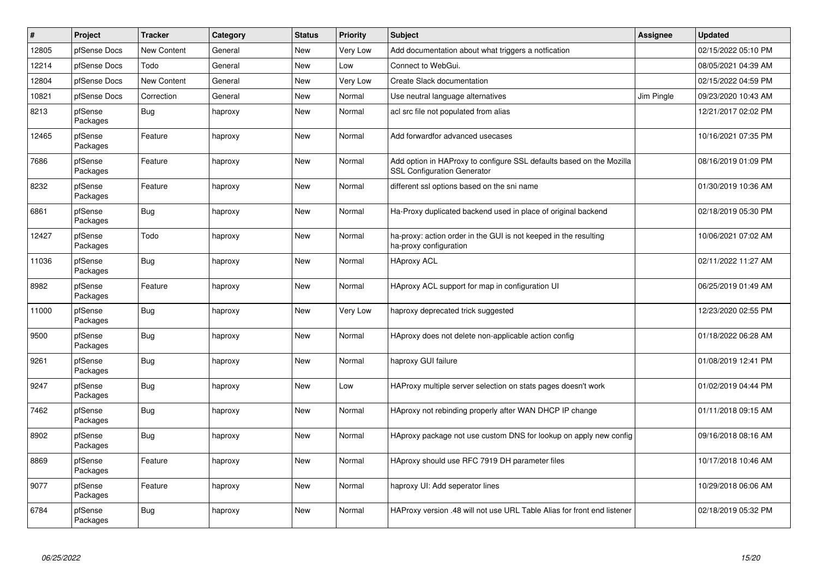| $\pmb{\#}$ | Project             | <b>Tracker</b>     | Category | <b>Status</b> | Priority | <b>Subject</b>                                                                                             | Assignee   | <b>Updated</b>      |
|------------|---------------------|--------------------|----------|---------------|----------|------------------------------------------------------------------------------------------------------------|------------|---------------------|
| 12805      | pfSense Docs        | <b>New Content</b> | General  | <b>New</b>    | Very Low | Add documentation about what triggers a notfication                                                        |            | 02/15/2022 05:10 PM |
| 12214      | pfSense Docs        | Todo               | General  | <b>New</b>    | Low      | Connect to WebGui.                                                                                         |            | 08/05/2021 04:39 AM |
| 12804      | pfSense Docs        | <b>New Content</b> | General  | <b>New</b>    | Very Low | <b>Create Slack documentation</b>                                                                          |            | 02/15/2022 04:59 PM |
| 10821      | pfSense Docs        | Correction         | General  | <b>New</b>    | Normal   | Use neutral language alternatives                                                                          | Jim Pingle | 09/23/2020 10:43 AM |
| 8213       | pfSense<br>Packages | <b>Bug</b>         | haproxy  | New           | Normal   | acl src file not populated from alias                                                                      |            | 12/21/2017 02:02 PM |
| 12465      | pfSense<br>Packages | Feature            | haproxy  | <b>New</b>    | Normal   | Add forwardfor advanced usecases                                                                           |            | 10/16/2021 07:35 PM |
| 7686       | pfSense<br>Packages | Feature            | haproxy  | <b>New</b>    | Normal   | Add option in HAProxy to configure SSL defaults based on the Mozilla<br><b>SSL Configuration Generator</b> |            | 08/16/2019 01:09 PM |
| 8232       | pfSense<br>Packages | Feature            | haproxy  | <b>New</b>    | Normal   | different ssl options based on the sni name                                                                |            | 01/30/2019 10:36 AM |
| 6861       | pfSense<br>Packages | Bug                | haproxy  | <b>New</b>    | Normal   | Ha-Proxy duplicated backend used in place of original backend                                              |            | 02/18/2019 05:30 PM |
| 12427      | pfSense<br>Packages | Todo               | haproxy  | <b>New</b>    | Normal   | ha-proxy: action order in the GUI is not keeped in the resulting<br>ha-proxy configuration                 |            | 10/06/2021 07:02 AM |
| 11036      | pfSense<br>Packages | Bug                | haproxy  | <b>New</b>    | Normal   | <b>HAproxy ACL</b>                                                                                         |            | 02/11/2022 11:27 AM |
| 8982       | pfSense<br>Packages | Feature            | haproxy  | New           | Normal   | HAproxy ACL support for map in configuration UI                                                            |            | 06/25/2019 01:49 AM |
| 11000      | pfSense<br>Packages | Bug                | haproxy  | <b>New</b>    | Very Low | haproxy deprecated trick suggested                                                                         |            | 12/23/2020 02:55 PM |
| 9500       | pfSense<br>Packages | <b>Bug</b>         | haproxy  | New           | Normal   | HAproxy does not delete non-applicable action config                                                       |            | 01/18/2022 06:28 AM |
| 9261       | pfSense<br>Packages | <b>Bug</b>         | haproxy  | New           | Normal   | haproxy GUI failure                                                                                        |            | 01/08/2019 12:41 PM |
| 9247       | pfSense<br>Packages | <b>Bug</b>         | haproxy  | <b>New</b>    | Low      | HAProxy multiple server selection on stats pages doesn't work                                              |            | 01/02/2019 04:44 PM |
| 7462       | pfSense<br>Packages | <b>Bug</b>         | haproxy  | <b>New</b>    | Normal   | HAproxy not rebinding properly after WAN DHCP IP change                                                    |            | 01/11/2018 09:15 AM |
| 8902       | pfSense<br>Packages | <b>Bug</b>         | haproxy  | <b>New</b>    | Normal   | HAproxy package not use custom DNS for lookup on apply new config                                          |            | 09/16/2018 08:16 AM |
| 8869       | pfSense<br>Packages | Feature            | haproxy  | <b>New</b>    | Normal   | HAproxy should use RFC 7919 DH parameter files                                                             |            | 10/17/2018 10:46 AM |
| 9077       | pfSense<br>Packages | Feature            | haproxy  | <b>New</b>    | Normal   | haproxy UI: Add seperator lines                                                                            |            | 10/29/2018 06:06 AM |
| 6784       | pfSense<br>Packages | Bug                | haproxy  | <b>New</b>    | Normal   | HAProxy version .48 will not use URL Table Alias for front end listener                                    |            | 02/18/2019 05:32 PM |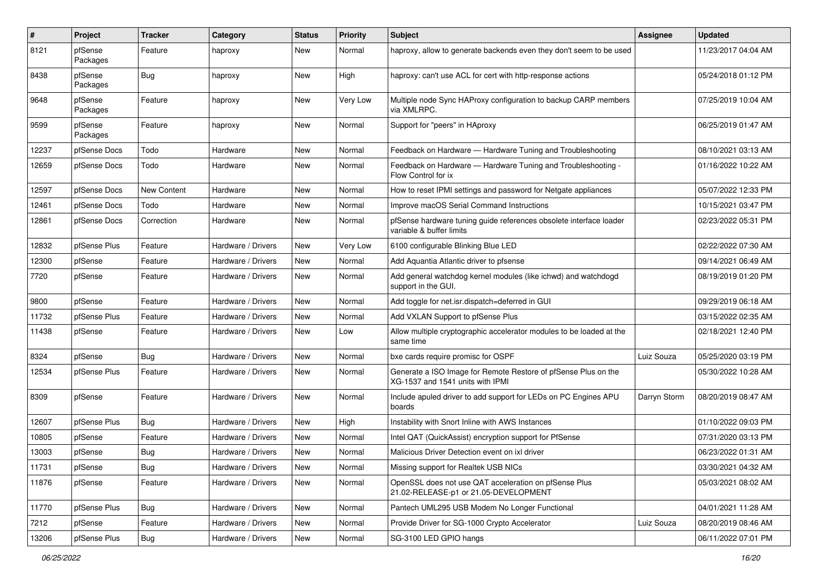| #     | Project             | <b>Tracker</b>   | Category           | <b>Status</b> | <b>Priority</b> | Subject                                                                                            | <b>Assignee</b> | <b>Updated</b>      |
|-------|---------------------|------------------|--------------------|---------------|-----------------|----------------------------------------------------------------------------------------------------|-----------------|---------------------|
| 8121  | pfSense<br>Packages | Feature          | haproxy            | New           | Normal          | haproxy, allow to generate backends even they don't seem to be used                                |                 | 11/23/2017 04:04 AM |
| 8438  | pfSense<br>Packages | <b>Bug</b>       | haproxy            | New           | High            | haproxy: can't use ACL for cert with http-response actions                                         |                 | 05/24/2018 01:12 PM |
| 9648  | pfSense<br>Packages | Feature          | haproxy            | <b>New</b>    | Very Low        | Multiple node Sync HAProxy configuration to backup CARP members<br>via XMLRPC.                     |                 | 07/25/2019 10:04 AM |
| 9599  | pfSense<br>Packages | Feature          | haproxy            | New           | Normal          | Support for "peers" in HAproxy                                                                     |                 | 06/25/2019 01:47 AM |
| 12237 | pfSense Docs        | Todo             | Hardware           | New           | Normal          | Feedback on Hardware - Hardware Tuning and Troubleshooting                                         |                 | 08/10/2021 03:13 AM |
| 12659 | pfSense Docs        | Todo             | Hardware           | New           | Normal          | Feedback on Hardware - Hardware Tuning and Troubleshooting -<br>Flow Control for ix                |                 | 01/16/2022 10:22 AM |
| 12597 | pfSense Docs        | New Content      | Hardware           | New           | Normal          | How to reset IPMI settings and password for Netgate appliances                                     |                 | 05/07/2022 12:33 PM |
| 12461 | pfSense Docs        | Todo             | Hardware           | New           | Normal          | Improve macOS Serial Command Instructions                                                          |                 | 10/15/2021 03:47 PM |
| 12861 | pfSense Docs        | Correction       | Hardware           | New           | Normal          | pfSense hardware tuning guide references obsolete interface loader<br>variable & buffer limits     |                 | 02/23/2022 05:31 PM |
| 12832 | pfSense Plus        | Feature          | Hardware / Drivers | New           | Very Low        | 6100 configurable Blinking Blue LED                                                                |                 | 02/22/2022 07:30 AM |
| 12300 | pfSense             | Feature          | Hardware / Drivers | New           | Normal          | Add Aquantia Atlantic driver to pfsense                                                            |                 | 09/14/2021 06:49 AM |
| 7720  | pfSense             | Feature          | Hardware / Drivers | New           | Normal          | Add general watchdog kernel modules (like ichwd) and watchdogd<br>support in the GUI.              |                 | 08/19/2019 01:20 PM |
| 9800  | pfSense             | Feature          | Hardware / Drivers | New           | Normal          | Add toggle for net.isr.dispatch=deferred in GUI                                                    |                 | 09/29/2019 06:18 AM |
| 11732 | pfSense Plus        | Feature          | Hardware / Drivers | New           | Normal          | Add VXLAN Support to pfSense Plus                                                                  |                 | 03/15/2022 02:35 AM |
| 11438 | pfSense             | Feature          | Hardware / Drivers | New           | Low             | Allow multiple cryptographic accelerator modules to be loaded at the<br>same time                  |                 | 02/18/2021 12:40 PM |
| 8324  | pfSense             | <b>Bug</b>       | Hardware / Drivers | New           | Normal          | bxe cards require promisc for OSPF                                                                 | Luiz Souza      | 05/25/2020 03:19 PM |
| 12534 | pfSense Plus        | Feature          | Hardware / Drivers | New           | Normal          | Generate a ISO Image for Remote Restore of pfSense Plus on the<br>XG-1537 and 1541 units with IPMI |                 | 05/30/2022 10:28 AM |
| 8309  | pfSense             | Feature          | Hardware / Drivers | New           | Normal          | Include apuled driver to add support for LEDs on PC Engines APU<br>boards                          | Darryn Storm    | 08/20/2019 08:47 AM |
| 12607 | pfSense Plus        | Bug              | Hardware / Drivers | New           | High            | Instability with Snort Inline with AWS Instances                                                   |                 | 01/10/2022 09:03 PM |
| 10805 | pfSense             | Feature          | Hardware / Drivers | New           | Normal          | Intel QAT (QuickAssist) encryption support for PfSense                                             |                 | 07/31/2020 03:13 PM |
| 13003 | pfSense             | <b>Bug</b>       | Hardware / Drivers | New           | Normal          | Malicious Driver Detection event on ixl driver                                                     |                 | 06/23/2022 01:31 AM |
| 11731 | pfSense             | Bug              | Hardware / Drivers | New           | Normal          | Missing support for Realtek USB NICs                                                               |                 | 03/30/2021 04:32 AM |
| 11876 | pfSense             | Feature          | Hardware / Drivers | New           | Normal          | OpenSSL does not use QAT acceleration on pfSense Plus<br>21.02-RELEASE-p1 or 21.05-DEVELOPMENT     |                 | 05/03/2021 08:02 AM |
| 11770 | pfSense Plus        | <b>Bug</b>       | Hardware / Drivers | New           | Normal          | Pantech UML295 USB Modem No Longer Functional                                                      |                 | 04/01/2021 11:28 AM |
| 7212  | pfSense             | Feature          | Hardware / Drivers | New           | Normal          | Provide Driver for SG-1000 Crypto Accelerator                                                      | Luiz Souza      | 08/20/2019 08:46 AM |
| 13206 | pfSense Plus        | <sub>I</sub> Bug | Hardware / Drivers | New           | Normal          | SG-3100 LED GPIO hangs                                                                             |                 | 06/11/2022 07:01 PM |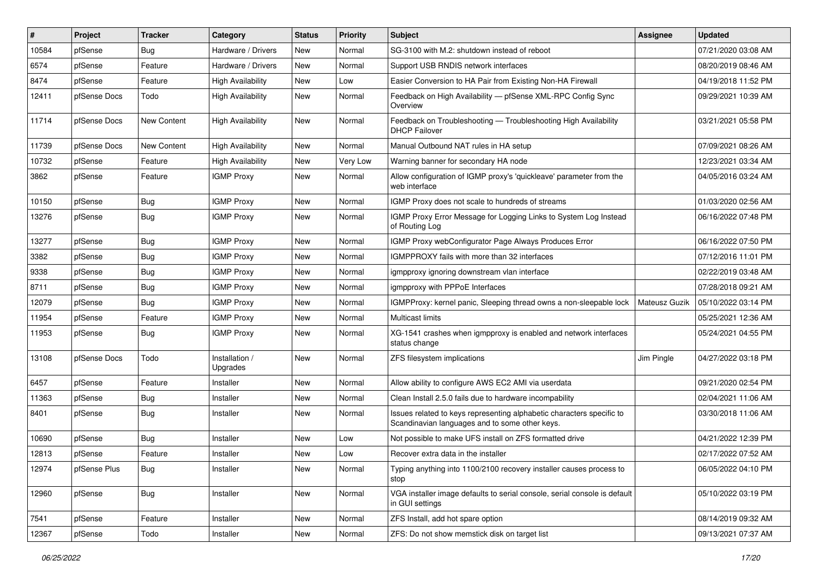| #     | Project      | <b>Tracker</b> | Category                   | <b>Status</b> | <b>Priority</b> | Subject                                                                                                                 | Assignee      | <b>Updated</b>      |
|-------|--------------|----------------|----------------------------|---------------|-----------------|-------------------------------------------------------------------------------------------------------------------------|---------------|---------------------|
| 10584 | pfSense      | Bug            | Hardware / Drivers         | New           | Normal          | SG-3100 with M.2: shutdown instead of reboot                                                                            |               | 07/21/2020 03:08 AM |
| 6574  | pfSense      | Feature        | Hardware / Drivers         | New           | Normal          | Support USB RNDIS network interfaces                                                                                    |               | 08/20/2019 08:46 AM |
| 8474  | pfSense      | Feature        | <b>High Availability</b>   | New           | Low             | Easier Conversion to HA Pair from Existing Non-HA Firewall                                                              |               | 04/19/2018 11:52 PM |
| 12411 | pfSense Docs | Todo           | <b>High Availability</b>   | New           | Normal          | Feedback on High Availability - pfSense XML-RPC Config Sync<br>Overview                                                 |               | 09/29/2021 10:39 AM |
| 11714 | pfSense Docs | New Content    | <b>High Availability</b>   | New           | Normal          | Feedback on Troubleshooting - Troubleshooting High Availability<br><b>DHCP Failover</b>                                 |               | 03/21/2021 05:58 PM |
| 11739 | pfSense Docs | New Content    | <b>High Availability</b>   | New           | Normal          | Manual Outbound NAT rules in HA setup                                                                                   |               | 07/09/2021 08:26 AM |
| 10732 | pfSense      | Feature        | <b>High Availability</b>   | New           | Very Low        | Warning banner for secondary HA node                                                                                    |               | 12/23/2021 03:34 AM |
| 3862  | pfSense      | Feature        | <b>IGMP Proxy</b>          | New           | Normal          | Allow configuration of IGMP proxy's 'quickleave' parameter from the<br>web interface                                    |               | 04/05/2016 03:24 AM |
| 10150 | pfSense      | Bug            | <b>IGMP Proxy</b>          | New           | Normal          | IGMP Proxy does not scale to hundreds of streams                                                                        |               | 01/03/2020 02:56 AM |
| 13276 | pfSense      | Bug            | <b>IGMP Proxy</b>          | New           | Normal          | IGMP Proxy Error Message for Logging Links to System Log Instead<br>of Routing Log                                      |               | 06/16/2022 07:48 PM |
| 13277 | pfSense      | <b>Bug</b>     | <b>IGMP Proxy</b>          | New           | Normal          | IGMP Proxy webConfigurator Page Always Produces Error                                                                   |               | 06/16/2022 07:50 PM |
| 3382  | pfSense      | <b>Bug</b>     | <b>IGMP Proxy</b>          | <b>New</b>    | Normal          | IGMPPROXY fails with more than 32 interfaces                                                                            |               | 07/12/2016 11:01 PM |
| 9338  | pfSense      | Bug            | <b>IGMP Proxy</b>          | New           | Normal          | igmpproxy ignoring downstream vlan interface                                                                            |               | 02/22/2019 03:48 AM |
| 8711  | pfSense      | <b>Bug</b>     | <b>IGMP Proxy</b>          | New           | Normal          | igmpproxy with PPPoE Interfaces                                                                                         |               | 07/28/2018 09:21 AM |
| 12079 | pfSense      | <b>Bug</b>     | <b>IGMP Proxy</b>          | New           | Normal          | IGMPProxy: kernel panic, Sleeping thread owns a non-sleepable lock                                                      | Mateusz Guzik | 05/10/2022 03:14 PM |
| 11954 | pfSense      | Feature        | <b>IGMP Proxy</b>          | New           | Normal          | <b>Multicast limits</b>                                                                                                 |               | 05/25/2021 12:36 AM |
| 11953 | pfSense      | Bug            | <b>IGMP Proxy</b>          | New           | Normal          | XG-1541 crashes when igmpproxy is enabled and network interfaces<br>status change                                       |               | 05/24/2021 04:55 PM |
| 13108 | pfSense Docs | Todo           | Installation /<br>Upgrades | New           | Normal          | ZFS filesystem implications                                                                                             | Jim Pingle    | 04/27/2022 03:18 PM |
| 6457  | pfSense      | Feature        | Installer                  | New           | Normal          | Allow ability to configure AWS EC2 AMI via userdata                                                                     |               | 09/21/2020 02:54 PM |
| 11363 | pfSense      | <b>Bug</b>     | Installer                  | New           | Normal          | Clean Install 2.5.0 fails due to hardware incompability                                                                 |               | 02/04/2021 11:06 AM |
| 8401  | pfSense      | <b>Bug</b>     | Installer                  | New           | Normal          | Issues related to keys representing alphabetic characters specific to<br>Scandinavian languages and to some other keys. |               | 03/30/2018 11:06 AM |
| 10690 | pfSense      | <b>Bug</b>     | Installer                  | New           | Low             | Not possible to make UFS install on ZFS formatted drive                                                                 |               | 04/21/2022 12:39 PM |
| 12813 | pfSense      | Feature        | Installer                  | New           | Low             | Recover extra data in the installer                                                                                     |               | 02/17/2022 07:52 AM |
| 12974 | pfSense Plus | <b>Bug</b>     | Installer                  | New           | Normal          | Typing anything into 1100/2100 recovery installer causes process to<br>stop                                             |               | 06/05/2022 04:10 PM |
| 12960 | pfSense      | <b>Bug</b>     | Installer                  | New           | Normal          | VGA installer image defaults to serial console, serial console is default<br>in GUI settings                            |               | 05/10/2022 03:19 PM |
| 7541  | pfSense      | Feature        | Installer                  | New           | Normal          | ZFS Install, add hot spare option                                                                                       |               | 08/14/2019 09:32 AM |
| 12367 | pfSense      | Todo           | Installer                  | New           | Normal          | ZFS: Do not show memstick disk on target list                                                                           |               | 09/13/2021 07:37 AM |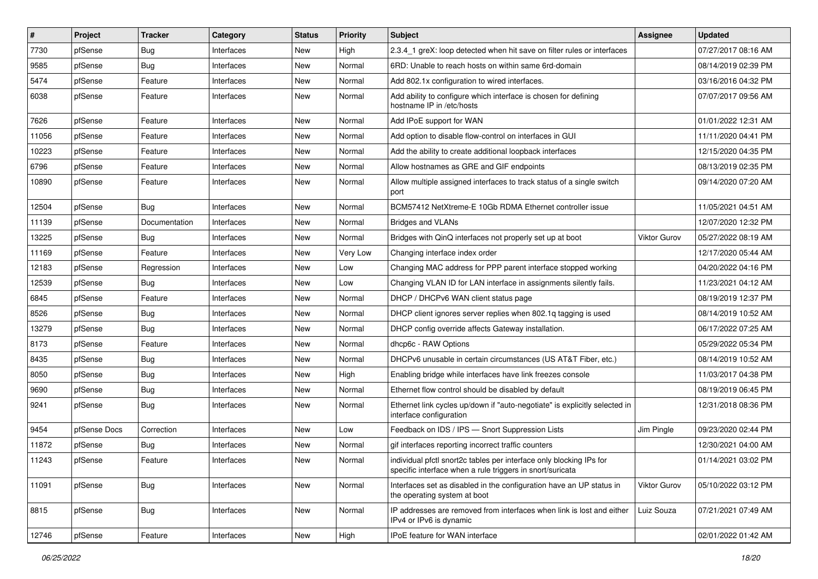| $\sharp$ | Project      | <b>Tracker</b> | Category   | <b>Status</b> | <b>Priority</b> | Subject                                                                                                                          | <b>Assignee</b> | <b>Updated</b>      |
|----------|--------------|----------------|------------|---------------|-----------------|----------------------------------------------------------------------------------------------------------------------------------|-----------------|---------------------|
| 7730     | pfSense      | Bug            | Interfaces | New           | High            | 2.3.4 1 greX: loop detected when hit save on filter rules or interfaces                                                          |                 | 07/27/2017 08:16 AM |
| 9585     | pfSense      | <b>Bug</b>     | Interfaces | New           | Normal          | 6RD: Unable to reach hosts on within same 6rd-domain                                                                             |                 | 08/14/2019 02:39 PM |
| 5474     | pfSense      | Feature        | Interfaces | New           | Normal          | Add 802.1x configuration to wired interfaces.                                                                                    |                 | 03/16/2016 04:32 PM |
| 6038     | pfSense      | Feature        | Interfaces | New           | Normal          | Add ability to configure which interface is chosen for defining<br>hostname IP in /etc/hosts                                     |                 | 07/07/2017 09:56 AM |
| 7626     | pfSense      | Feature        | Interfaces | New           | Normal          | Add IPoE support for WAN                                                                                                         |                 | 01/01/2022 12:31 AM |
| 11056    | pfSense      | Feature        | Interfaces | New           | Normal          | Add option to disable flow-control on interfaces in GUI                                                                          |                 | 11/11/2020 04:41 PM |
| 10223    | pfSense      | Feature        | Interfaces | New           | Normal          | Add the ability to create additional loopback interfaces                                                                         |                 | 12/15/2020 04:35 PM |
| 6796     | pfSense      | Feature        | Interfaces | New           | Normal          | Allow hostnames as GRE and GIF endpoints                                                                                         |                 | 08/13/2019 02:35 PM |
| 10890    | pfSense      | Feature        | Interfaces | New           | Normal          | Allow multiple assigned interfaces to track status of a single switch<br>port                                                    |                 | 09/14/2020 07:20 AM |
| 12504    | pfSense      | Bug            | Interfaces | New           | Normal          | BCM57412 NetXtreme-E 10Gb RDMA Ethernet controller issue                                                                         |                 | 11/05/2021 04:51 AM |
| 11139    | pfSense      | Documentation  | Interfaces | New           | Normal          | <b>Bridges and VLANs</b>                                                                                                         |                 | 12/07/2020 12:32 PM |
| 13225    | pfSense      | <b>Bug</b>     | Interfaces | New           | Normal          | Bridges with QinQ interfaces not properly set up at boot                                                                         | Viktor Gurov    | 05/27/2022 08:19 AM |
| 11169    | pfSense      | Feature        | Interfaces | New           | Very Low        | Changing interface index order                                                                                                   |                 | 12/17/2020 05:44 AM |
| 12183    | pfSense      | Regression     | Interfaces | New           | Low             | Changing MAC address for PPP parent interface stopped working                                                                    |                 | 04/20/2022 04:16 PM |
| 12539    | pfSense      | <b>Bug</b>     | Interfaces | New           | Low             | Changing VLAN ID for LAN interface in assignments silently fails.                                                                |                 | 11/23/2021 04:12 AM |
| 6845     | pfSense      | Feature        | Interfaces | New           | Normal          | DHCP / DHCPv6 WAN client status page                                                                                             |                 | 08/19/2019 12:37 PM |
| 8526     | pfSense      | Bug            | Interfaces | New           | Normal          | DHCP client ignores server replies when 802.1q tagging is used                                                                   |                 | 08/14/2019 10:52 AM |
| 13279    | pfSense      | <b>Bug</b>     | Interfaces | New           | Normal          | DHCP config override affects Gateway installation.                                                                               |                 | 06/17/2022 07:25 AM |
| 8173     | pfSense      | Feature        | Interfaces | New           | Normal          | dhcp6c - RAW Options                                                                                                             |                 | 05/29/2022 05:34 PM |
| 8435     | pfSense      | <b>Bug</b>     | Interfaces | New           | Normal          | DHCPv6 unusable in certain circumstances (US AT&T Fiber, etc.)                                                                   |                 | 08/14/2019 10:52 AM |
| 8050     | pfSense      | <b>Bug</b>     | Interfaces | <b>New</b>    | High            | Enabling bridge while interfaces have link freezes console                                                                       |                 | 11/03/2017 04:38 PM |
| 9690     | pfSense      | <b>Bug</b>     | Interfaces | New           | Normal          | Ethernet flow control should be disabled by default                                                                              |                 | 08/19/2019 06:45 PM |
| 9241     | pfSense      | <b>Bug</b>     | Interfaces | New           | Normal          | Ethernet link cycles up/down if "auto-negotiate" is explicitly selected in<br>interface configuration                            |                 | 12/31/2018 08:36 PM |
| 9454     | pfSense Docs | Correction     | Interfaces | New           | Low             | Feedback on IDS / IPS - Snort Suppression Lists                                                                                  | Jim Pingle      | 09/23/2020 02:44 PM |
| 11872    | pfSense      | <b>Bug</b>     | Interfaces | New           | Normal          | gif interfaces reporting incorrect traffic counters                                                                              |                 | 12/30/2021 04:00 AM |
| 11243    | pfSense      | Feature        | Interfaces | New           | Normal          | individual pfctl snort2c tables per interface only blocking IPs for<br>specific interface when a rule triggers in snort/suricata |                 | 01/14/2021 03:02 PM |
| 11091    | pfSense      | <b>Bug</b>     | Interfaces | New           | Normal          | Interfaces set as disabled in the configuration have an UP status in<br>the operating system at boot                             | Viktor Gurov    | 05/10/2022 03:12 PM |
| 8815     | pfSense      | Bug            | Interfaces | New           | Normal          | IP addresses are removed from interfaces when link is lost and either<br>IPv4 or IPv6 is dynamic                                 | Luiz Souza      | 07/21/2021 07:49 AM |
| 12746    | pfSense      | Feature        | Interfaces | New           | High            | IPoE feature for WAN interface                                                                                                   |                 | 02/01/2022 01:42 AM |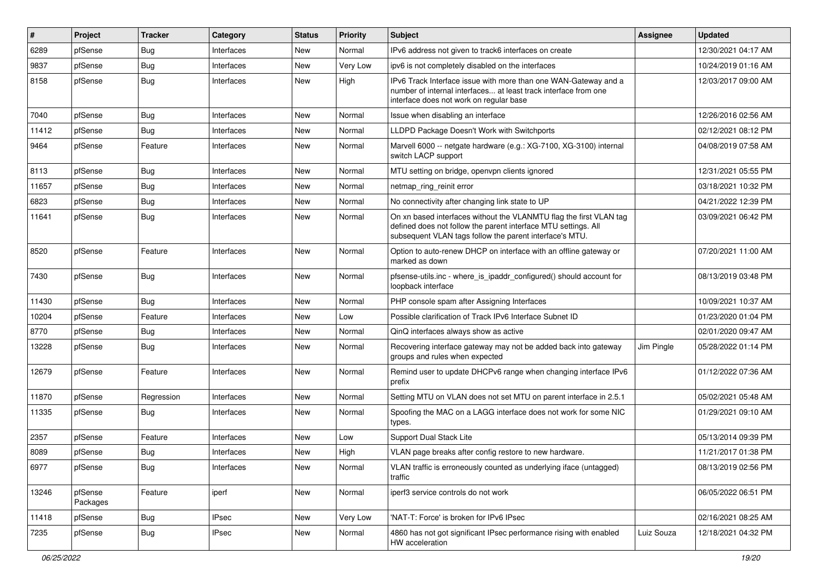| #     | Project             | <b>Tracker</b> | Category     | <b>Status</b> | <b>Priority</b> | Subject                                                                                                                                                                                         | <b>Assignee</b> | <b>Updated</b>      |
|-------|---------------------|----------------|--------------|---------------|-----------------|-------------------------------------------------------------------------------------------------------------------------------------------------------------------------------------------------|-----------------|---------------------|
| 6289  | pfSense             | Bug            | Interfaces   | New           | Normal          | IPv6 address not given to track6 interfaces on create                                                                                                                                           |                 | 12/30/2021 04:17 AM |
| 9837  | pfSense             | <b>Bug</b>     | Interfaces   | New           | Very Low        | ipv6 is not completely disabled on the interfaces                                                                                                                                               |                 | 10/24/2019 01:16 AM |
| 8158  | pfSense             | Bug            | Interfaces   | New           | High            | IPv6 Track Interface issue with more than one WAN-Gateway and a<br>number of internal interfaces at least track interface from one<br>interface does not work on regular base                   |                 | 12/03/2017 09:00 AM |
| 7040  | pfSense             | Bug            | Interfaces   | New           | Normal          | Issue when disabling an interface                                                                                                                                                               |                 | 12/26/2016 02:56 AM |
| 11412 | pfSense             | <b>Bug</b>     | Interfaces   | New           | Normal          | LLDPD Package Doesn't Work with Switchports                                                                                                                                                     |                 | 02/12/2021 08:12 PM |
| 9464  | pfSense             | Feature        | Interfaces   | New           | Normal          | Marvell 6000 -- netgate hardware (e.g.: XG-7100, XG-3100) internal<br>switch LACP support                                                                                                       |                 | 04/08/2019 07:58 AM |
| 8113  | pfSense             | Bug            | Interfaces   | New           | Normal          | MTU setting on bridge, openypn clients ignored                                                                                                                                                  |                 | 12/31/2021 05:55 PM |
| 11657 | pfSense             | Bug            | Interfaces   | New           | Normal          | netmap_ring_reinit error                                                                                                                                                                        |                 | 03/18/2021 10:32 PM |
| 6823  | pfSense             | <b>Bug</b>     | Interfaces   | New           | Normal          | No connectivity after changing link state to UP                                                                                                                                                 |                 | 04/21/2022 12:39 PM |
| 11641 | pfSense             | <b>Bug</b>     | Interfaces   | New           | Normal          | On xn based interfaces without the VLANMTU flag the first VLAN tag<br>defined does not follow the parent interface MTU settings. All<br>subsequent VLAN tags follow the parent interface's MTU. |                 | 03/09/2021 06:42 PM |
| 8520  | pfSense             | Feature        | Interfaces   | New           | Normal          | Option to auto-renew DHCP on interface with an offline gateway or<br>marked as down                                                                                                             |                 | 07/20/2021 11:00 AM |
| 7430  | pfSense             | <b>Bug</b>     | Interfaces   | New           | Normal          | pfsense-utils.inc - where_is_ipaddr_configured() should account for<br>loopback interface                                                                                                       |                 | 08/13/2019 03:48 PM |
| 11430 | pfSense             | Bug            | Interfaces   | New           | Normal          | PHP console spam after Assigning Interfaces                                                                                                                                                     |                 | 10/09/2021 10:37 AM |
| 10204 | pfSense             | Feature        | Interfaces   | New           | Low             | Possible clarification of Track IPv6 Interface Subnet ID                                                                                                                                        |                 | 01/23/2020 01:04 PM |
| 8770  | pfSense             | <b>Bug</b>     | Interfaces   | New           | Normal          | QinQ interfaces always show as active                                                                                                                                                           |                 | 02/01/2020 09:47 AM |
| 13228 | pfSense             | <b>Bug</b>     | Interfaces   | New           | Normal          | Recovering interface gateway may not be added back into gateway<br>groups and rules when expected                                                                                               | Jim Pingle      | 05/28/2022 01:14 PM |
| 12679 | pfSense             | Feature        | Interfaces   | <b>New</b>    | Normal          | Remind user to update DHCPv6 range when changing interface IPv6<br>prefix                                                                                                                       |                 | 01/12/2022 07:36 AM |
| 11870 | pfSense             | Regression     | Interfaces   | <b>New</b>    | Normal          | Setting MTU on VLAN does not set MTU on parent interface in 2.5.1                                                                                                                               |                 | 05/02/2021 05:48 AM |
| 11335 | pfSense             | Bug            | Interfaces   | New           | Normal          | Spoofing the MAC on a LAGG interface does not work for some NIC<br>types.                                                                                                                       |                 | 01/29/2021 09:10 AM |
| 2357  | pfSense             | Feature        | Interfaces   | <b>New</b>    | Low             | <b>Support Dual Stack Lite</b>                                                                                                                                                                  |                 | 05/13/2014 09:39 PM |
| 8089  | pfSense             | <b>Bug</b>     | Interfaces   | New           | High            | VLAN page breaks after config restore to new hardware.                                                                                                                                          |                 | 11/21/2017 01:38 PM |
| 6977  | pfSense             | <b>Bug</b>     | Interfaces   | New           | Normal          | VLAN traffic is erroneously counted as underlying iface (untagged)<br>traffic                                                                                                                   |                 | 08/13/2019 02:56 PM |
| 13246 | pfSense<br>Packages | Feature        | iperf        | New           | Normal          | iperf3 service controls do not work                                                                                                                                                             |                 | 06/05/2022 06:51 PM |
| 11418 | pfSense             | Bug            | <b>IPsec</b> | New           | Very Low        | 'NAT-T: Force' is broken for IPv6 IPsec                                                                                                                                                         |                 | 02/16/2021 08:25 AM |
| 7235  | pfSense             | Bug            | <b>IPsec</b> | New           | Normal          | 4860 has not got significant IPsec performance rising with enabled<br>HW acceleration                                                                                                           | Luiz Souza      | 12/18/2021 04:32 PM |